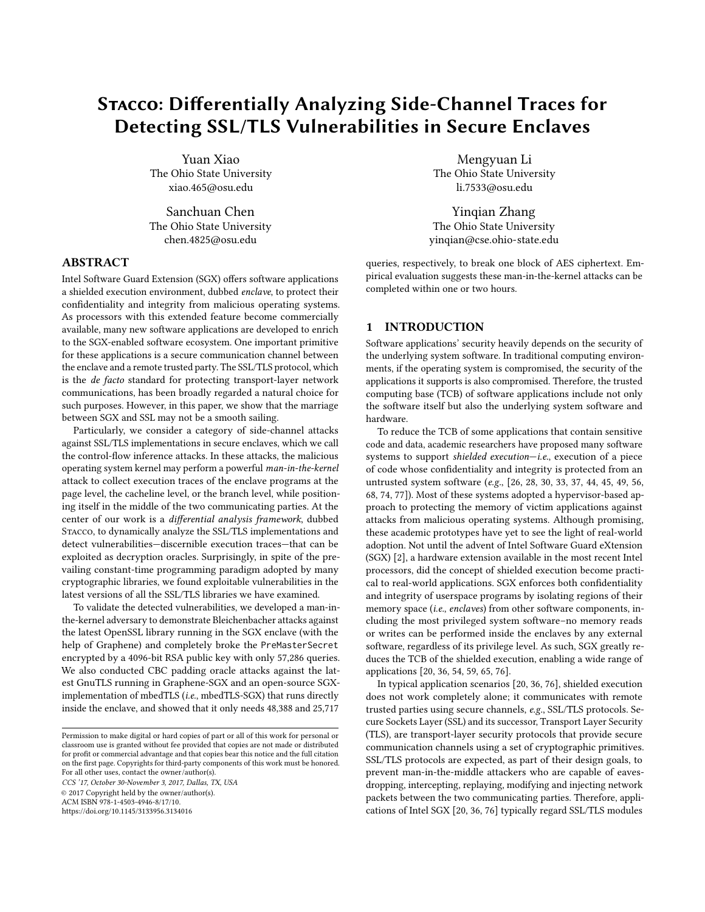# Stacco: Differentially Analyzing Side-Channel Traces for Detecting SSL/TLS Vulnerabilities in Secure Enclaves

Yuan Xiao The Ohio State University xiao.465@osu.edu

Sanchuan Chen The Ohio State University chen.4825@osu.edu

# ABSTRACT

Intel Software Guard Extension (SGX) offers software applications a shielded execution environment, dubbed enclave, to protect their confidentiality and integrity from malicious operating systems. As processors with this extended feature become commercially available, many new software applications are developed to enrich to the SGX-enabled software ecosystem. One important primitive for these applications is a secure communication channel between the enclave and a remote trusted party. The SSL/TLS protocol, which is the de facto standard for protecting transport-layer network communications, has been broadly regarded a natural choice for such purposes. However, in this paper, we show that the marriage between SGX and SSL may not be a smooth sailing.

Particularly, we consider a category of side-channel attacks against SSL/TLS implementations in secure enclaves, which we call the control-flow inference attacks. In these attacks, the malicious operating system kernel may perform a powerful man-in-the-kernel attack to collect execution traces of the enclave programs at the page level, the cacheline level, or the branch level, while positioning itself in the middle of the two communicating parties. At the center of our work is a differential analysis framework, dubbed Stacco, to dynamically analyze the SSL/TLS implementations and detect vulnerabilities—discernible execution traces—that can be exploited as decryption oracles. Surprisingly, in spite of the prevailing constant-time programming paradigm adopted by many cryptographic libraries, we found exploitable vulnerabilities in the latest versions of all the SSL/TLS libraries we have examined.

To validate the detected vulnerabilities, we developed a man-inthe-kernel adversary to demonstrate Bleichenbacher attacks against the latest OpenSSL library running in the SGX enclave (with the help of Graphene) and completely broke the PreMasterSecret encrypted by a 4096-bit RSA public key with only 57,286 queries. We also conducted CBC padding oracle attacks against the latest GnuTLS running in Graphene-SGX and an open-source SGXimplementation of mbedTLS (i.e., mbedTLS-SGX) that runs directly inside the enclave, and showed that it only needs 48,388 and 25,717

CCS '17, October 30-November 3, 2017, Dallas, TX, USA

© 2017 Copyright held by the owner/author(s).

ACM ISBN 978-1-4503-4946-8/17/10.

<https://doi.org/10.1145/3133956.3134016>

Mengyuan Li The Ohio State University li.7533@osu.edu

Yinqian Zhang The Ohio State University yinqian@cse.ohio-state.edu

queries, respectively, to break one block of AES ciphertext. Empirical evaluation suggests these man-in-the-kernel attacks can be completed within one or two hours.

#### 1 INTRODUCTION

Software applications' security heavily depends on the security of the underlying system software. In traditional computing environments, if the operating system is compromised, the security of the applications it supports is also compromised. Therefore, the trusted computing base (TCB) of software applications include not only the software itself but also the underlying system software and hardware.

To reduce the TCB of some applications that contain sensitive code and data, academic researchers have proposed many software systems to support shielded execution—i.e., execution of a piece of code whose confidentiality and integrity is protected from an untrusted system software (e.g., [\[26,](#page-13-0) [28,](#page-13-1) [30,](#page-13-2) [33,](#page-13-3) [37,](#page-13-4) [44,](#page-13-5) [45,](#page-13-6) [49,](#page-13-7) [56,](#page-14-0) [68,](#page-14-1) [74,](#page-14-2) [77\]](#page-14-3)). Most of these systems adopted a hypervisor-based approach to protecting the memory of victim applications against attacks from malicious operating systems. Although promising, these academic prototypes have yet to see the light of real-world adoption. Not until the advent of Intel Software Guard eXtension (SGX) [\[2\]](#page-13-8), a hardware extension available in the most recent Intel processors, did the concept of shielded execution become practical to real-world applications. SGX enforces both confidentiality and integrity of userspace programs by isolating regions of their memory space (i.e., enclaves) from other software components, including the most privileged system software–no memory reads or writes can be performed inside the enclaves by any external software, regardless of its privilege level. As such, SGX greatly reduces the TCB of the shielded execution, enabling a wide range of applications [\[20,](#page-13-9) [36,](#page-13-10) [54,](#page-14-4) [59,](#page-14-5) [65,](#page-14-6) [76\]](#page-14-7).

In typical application scenarios [\[20,](#page-13-9) [36,](#page-13-10) [76\]](#page-14-7), shielded execution does not work completely alone; it communicates with remote trusted parties using secure channels, e.g., SSL/TLS protocols. Secure Sockets Layer (SSL) and its successor, Transport Layer Security (TLS), are transport-layer security protocols that provide secure communication channels using a set of cryptographic primitives. SSL/TLS protocols are expected, as part of their design goals, to prevent man-in-the-middle attackers who are capable of eavesdropping, intercepting, replaying, modifying and injecting network packets between the two communicating parties. Therefore, applications of Intel SGX [\[20,](#page-13-9) [36,](#page-13-10) [76\]](#page-14-7) typically regard SSL/TLS modules

Permission to make digital or hard copies of part or all of this work for personal or classroom use is granted without fee provided that copies are not made or distributed for profit or commercial advantage and that copies bear this notice and the full citation on the first page. Copyrights for third-party components of this work must be honored. For all other uses, contact the owner/author(s).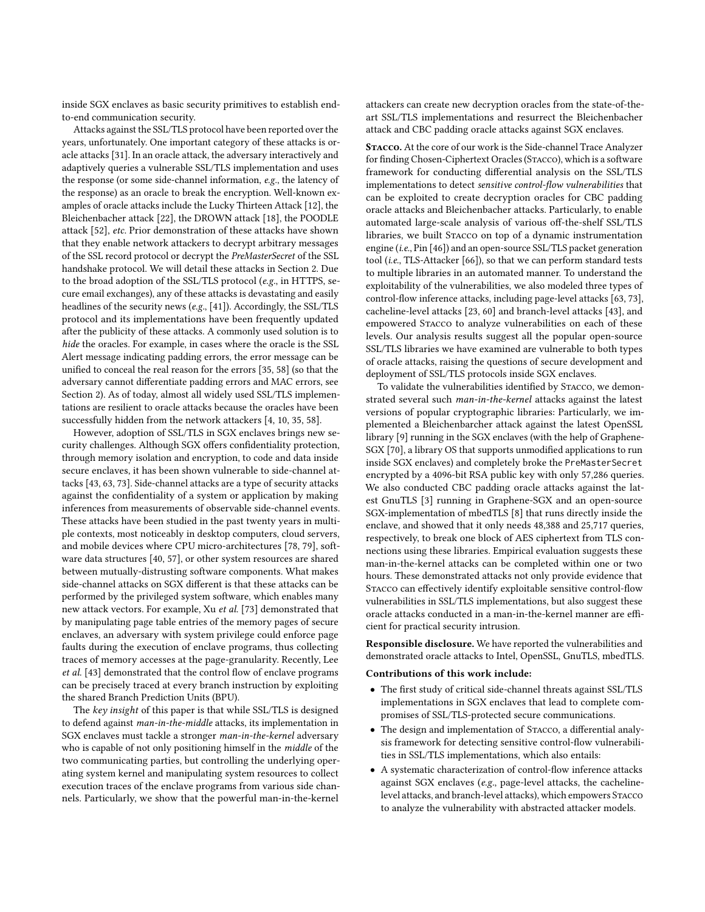inside SGX enclaves as basic security primitives to establish endto-end communication security.

Attacks against the SSL/TLS protocol have been reported over the years, unfortunately. One important category of these attacks is oracle attacks [\[31\]](#page-13-11). In an oracle attack, the adversary interactively and adaptively queries a vulnerable SSL/TLS implementation and uses the response (or some side-channel information, e.g., the latency of the response) as an oracle to break the encryption. Well-known examples of oracle attacks include the Lucky Thirteen Attack [\[12\]](#page-13-12), the Bleichenbacher attack [\[22\]](#page-13-13), the DROWN attack [\[18\]](#page-13-14), the POODLE attack [\[52\]](#page-14-8), etc. Prior demonstration of these attacks have shown that they enable network attackers to decrypt arbitrary messages of the SSL record protocol or decrypt the PreMasterSecret of the SSL handshake protocol. We will detail these attacks in Section [2.](#page-2-0) Due to the broad adoption of the SSL/TLS protocol (e.g., in HTTPS, secure email exchanges), any of these attacks is devastating and easily headlines of the security news (e.g., [\[41\]](#page-13-15)). Accordingly, the SSL/TLS protocol and its implementations have been frequently updated after the publicity of these attacks. A commonly used solution is to hide the oracles. For example, in cases where the oracle is the SSL Alert message indicating padding errors, the error message can be unified to conceal the real reason for the errors [\[35,](#page-13-16) [58\]](#page-14-9) (so that the adversary cannot differentiate padding errors and MAC errors, see Section [2\)](#page-2-0). As of today, almost all widely used SSL/TLS implementations are resilient to oracle attacks because the oracles have been successfully hidden from the network attackers [\[4,](#page-13-17) [10,](#page-13-18) [35,](#page-13-16) [58\]](#page-14-9).

However, adoption of SSL/TLS in SGX enclaves brings new security challenges. Although SGX offers confidentiality protection, through memory isolation and encryption, to code and data inside secure enclaves, it has been shown vulnerable to side-channel attacks [\[43,](#page-13-19) [63,](#page-14-10) [73\]](#page-14-11). Side-channel attacks are a type of security attacks against the confidentiality of a system or application by making inferences from measurements of observable side-channel events. These attacks have been studied in the past twenty years in multiple contexts, most noticeably in desktop computers, cloud servers, and mobile devices where CPU micro-architectures [\[78,](#page-14-12) [79\]](#page-14-13), software data structures [\[40,](#page-13-20) [57\]](#page-14-14), or other system resources are shared between mutually-distrusting software components. What makes side-channel attacks on SGX different is that these attacks can be performed by the privileged system software, which enables many new attack vectors. For example, Xu et al. [\[73\]](#page-14-11) demonstrated that by manipulating page table entries of the memory pages of secure enclaves, an adversary with system privilege could enforce page faults during the execution of enclave programs, thus collecting traces of memory accesses at the page-granularity. Recently, Lee et al. [\[43\]](#page-13-19) demonstrated that the control flow of enclave programs can be precisely traced at every branch instruction by exploiting the shared Branch Prediction Units (BPU).

The key insight of this paper is that while SSL/TLS is designed to defend against man-in-the-middle attacks, its implementation in SGX enclaves must tackle a stronger man-in-the-kernel adversary who is capable of not only positioning himself in the *middle* of the two communicating parties, but controlling the underlying operating system kernel and manipulating system resources to collect execution traces of the enclave programs from various side channels. Particularly, we show that the powerful man-in-the-kernel

attackers can create new decryption oracles from the state-of-theart SSL/TLS implementations and resurrect the Bleichenbacher attack and CBC padding oracle attacks against SGX enclaves.

Stacco. At the core of our work is the Side-channel Trace Analyzer for finding Chosen-Ciphertext Oracles (Stacco), which is a software framework for conducting differential analysis on the SSL/TLS implementations to detect sensitive control-flow vulnerabilities that can be exploited to create decryption oracles for CBC padding oracle attacks and Bleichenbacher attacks. Particularly, to enable automated large-scale analysis of various off-the-shelf SSL/TLS libraries, we built Stacco on top of a dynamic instrumentation engine (i.e., Pin [\[46\]](#page-13-21)) and an open-source SSL/TLS packet generation tool (i.e., TLS-Attacker [\[66\]](#page-14-15)), so that we can perform standard tests to multiple libraries in an automated manner. To understand the exploitability of the vulnerabilities, we also modeled three types of control-flow inference attacks, including page-level attacks [\[63,](#page-14-10) [73\]](#page-14-11), cacheline-level attacks [\[23,](#page-13-22) [60\]](#page-14-16) and branch-level attacks [\[43\]](#page-13-19), and empowered Stacco to analyze vulnerabilities on each of these levels. Our analysis results suggest all the popular open-source SSL/TLS libraries we have examined are vulnerable to both types of oracle attacks, raising the questions of secure development and deployment of SSL/TLS protocols inside SGX enclaves.

To validate the vulnerabilities identified by STACCO, we demonstrated several such man-in-the-kernel attacks against the latest versions of popular cryptographic libraries: Particularly, we implemented a Bleichenbarcher attack against the latest OpenSSL library [\[9\]](#page-13-23) running in the SGX enclaves (with the help of Graphene-SGX [\[70\]](#page-14-17), a library OS that supports unmodified applications to run inside SGX enclaves) and completely broke the PreMasterSecret encrypted by a 4096-bit RSA public key with only 57,286 queries. We also conducted CBC padding oracle attacks against the latest GnuTLS [\[3\]](#page-13-24) running in Graphene-SGX and an open-source SGX-implementation of mbedTLS [\[8\]](#page-13-25) that runs directly inside the enclave, and showed that it only needs 48,388 and 25,717 queries, respectively, to break one block of AES ciphertext from TLS connections using these libraries. Empirical evaluation suggests these man-in-the-kernel attacks can be completed within one or two hours. These demonstrated attacks not only provide evidence that Stacco can effectively identify exploitable sensitive control-flow vulnerabilities in SSL/TLS implementations, but also suggest these oracle attacks conducted in a man-in-the-kernel manner are efficient for practical security intrusion.

Responsible disclosure. We have reported the vulnerabilities and demonstrated oracle attacks to Intel, OpenSSL, GnuTLS, mbedTLS.

#### Contributions of this work include:

- The first study of critical side-channel threats against SSL/TLS implementations in SGX enclaves that lead to complete compromises of SSL/TLS-protected secure communications.
- The design and implementation of Stacco, a differential analysis framework for detecting sensitive control-flow vulnerabilities in SSL/TLS implementations, which also entails:
- A systematic characterization of control-flow inference attacks against SGX enclaves (e.g., page-level attacks, the cachelinelevel attacks, and branch-level attacks), which empowers Stacco to analyze the vulnerability with abstracted attacker models.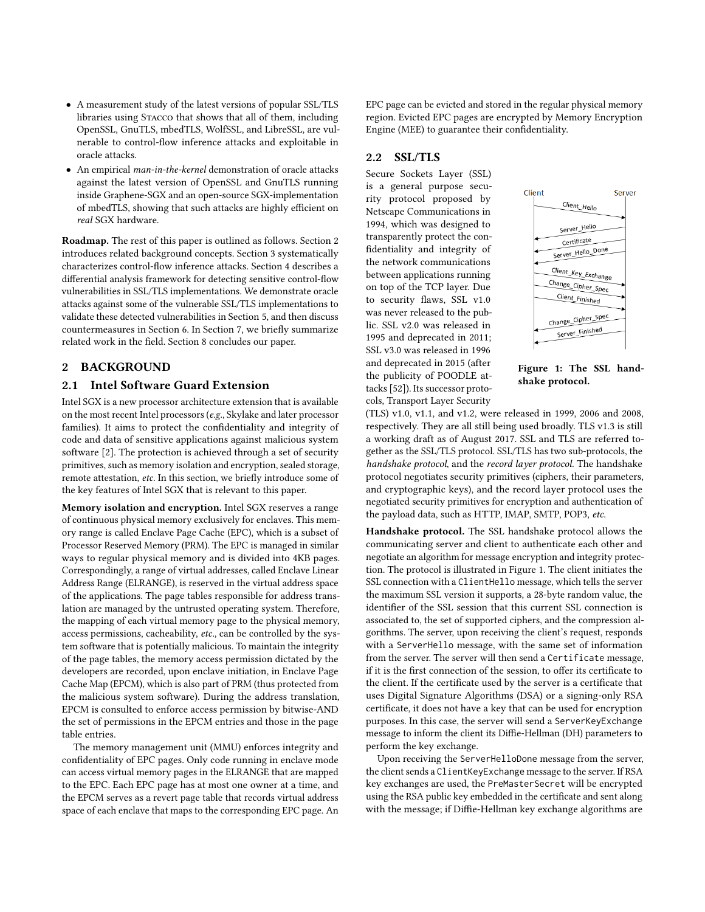- A measurement study of the latest versions of popular SSL/TLS libraries using Stacco that shows that all of them, including OpenSSL, GnuTLS, mbedTLS, WolfSSL, and LibreSSL, are vulnerable to control-flow inference attacks and exploitable in oracle attacks.
- An empirical man-in-the-kernel demonstration of oracle attacks against the latest version of OpenSSL and GnuTLS running inside Graphene-SGX and an open-source SGX-implementation of mbedTLS, showing that such attacks are highly efficient on real SGX hardware.

Roadmap. The rest of this paper is outlined as follows. Section [2](#page-2-0) introduces related background concepts. Section [3](#page-4-0) systematically characterizes control-flow inference attacks. Section [4](#page-5-0) describes a differential analysis framework for detecting sensitive control-flow vulnerabilities in SSL/TLS implementations. We demonstrate oracle attacks against some of the vulnerable SSL/TLS implementations to validate these detected vulnerabilities in Section [5,](#page-8-0) and then discuss countermeasures in Section [6.](#page-11-0) In Section [7,](#page-11-1) we briefly summarize related work in the field. Section [8](#page-12-0) concludes our paper.

# <span id="page-2-0"></span>2 BACKGROUND

### 2.1 Intel Software Guard Extension

Intel SGX is a new processor architecture extension that is available on the most recent Intel processors (e.g., Skylake and later processor families). It aims to protect the confidentiality and integrity of code and data of sensitive applications against malicious system software [\[2\]](#page-13-8). The protection is achieved through a set of security primitives, such as memory isolation and encryption, sealed storage, remote attestation, etc. In this section, we briefly introduce some of the key features of Intel SGX that is relevant to this paper.

Memory isolation and encryption. Intel SGX reserves a range of continuous physical memory exclusively for enclaves. This memory range is called Enclave Page Cache (EPC), which is a subset of Processor Reserved Memory (PRM). The EPC is managed in similar ways to regular physical memory and is divided into 4KB pages. Correspondingly, a range of virtual addresses, called Enclave Linear Address Range (ELRANGE), is reserved in the virtual address space of the applications. The page tables responsible for address translation are managed by the untrusted operating system. Therefore, the mapping of each virtual memory page to the physical memory, access permissions, cacheability, etc., can be controlled by the system software that is potentially malicious. To maintain the integrity of the page tables, the memory access permission dictated by the developers are recorded, upon enclave initiation, in Enclave Page Cache Map (EPCM), which is also part of PRM (thus protected from the malicious system software). During the address translation, EPCM is consulted to enforce access permission by bitwise-AND the set of permissions in the EPCM entries and those in the page table entries.

The memory management unit (MMU) enforces integrity and confidentiality of EPC pages. Only code running in enclave mode can access virtual memory pages in the ELRANGE that are mapped to the EPC. Each EPC page has at most one owner at a time, and the EPCM serves as a revert page table that records virtual address space of each enclave that maps to the corresponding EPC page. An EPC page can be evicted and stored in the regular physical memory region. Evicted EPC pages are encrypted by Memory Encryption Engine (MEE) to guarantee their confidentiality.

# 2.2 SSL/TLS

Secure Sockets Layer (SSL) is a general purpose security protocol proposed by Netscape Communications in 1994, which was designed to transparently protect the confidentiality and integrity of the network communications between applications running on top of the TCP layer. Due to security flaws, SSL v1.0 was never released to the public. SSL v2.0 was released in 1995 and deprecated in 2011; SSL v3.0 was released in 1996 and deprecated in 2015 (after the publicity of POODLE attacks [\[52\]](#page-14-8)). Its successor protocols, Transport Layer Security

<span id="page-2-1"></span>

Figure 1: The SSL handshake protocol.

(TLS) v1.0, v1.1, and v1.2, were released in 1999, 2006 and 2008, respectively. They are all still being used broadly. TLS v1.3 is still a working draft as of August 2017. SSL and TLS are referred together as the SSL/TLS protocol. SSL/TLS has two sub-protocols, the handshake protocol, and the record layer protocol. The handshake protocol negotiates security primitives (ciphers, their parameters, and cryptographic keys), and the record layer protocol uses the negotiated security primitives for encryption and authentication of the payload data, such as HTTP, IMAP, SMTP, POP3, etc.

Handshake protocol. The SSL handshake protocol allows the communicating server and client to authenticate each other and negotiate an algorithm for message encryption and integrity protection. The protocol is illustrated in Figure [1.](#page-2-1) The client initiates the SSL connection with a ClientHello message, which tells the server the maximum SSL version it supports, a 28-byte random value, the identifier of the SSL session that this current SSL connection is associated to, the set of supported ciphers, and the compression algorithms. The server, upon receiving the client's request, responds with a ServerHello message, with the same set of information from the server. The server will then send a Certificate message, if it is the first connection of the session, to offer its certificate to the client. If the certificate used by the server is a certificate that uses Digital Signature Algorithms (DSA) or a signing-only RSA certificate, it does not have a key that can be used for encryption purposes. In this case, the server will send a ServerKeyExchange message to inform the client its Diffie-Hellman (DH) parameters to perform the key exchange.

Upon receiving the ServerHelloDone message from the server, the client sends a ClientKeyExchange message to the server. If RSA key exchanges are used, the PreMasterSecret will be encrypted using the RSA public key embedded in the certificate and sent along with the message; if Diffie-Hellman key exchange algorithms are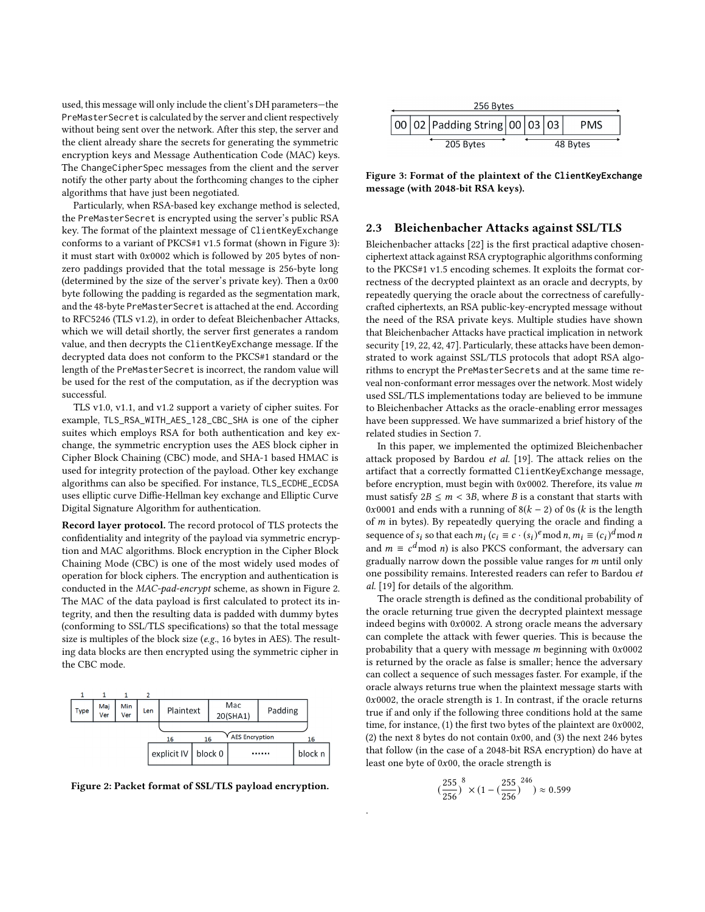used, this message will only include the client's DH parameters—the PreMasterSecret is calculated by the server and client respectively without being sent over the network. After this step, the server and the client already share the secrets for generating the symmetric encryption keys and Message Authentication Code (MAC) keys. The ChangeCipherSpec messages from the client and the server notify the other party about the forthcoming changes to the cipher algorithms that have just been negotiated.

Particularly, when RSA-based key exchange method is selected, the PreMasterSecret is encrypted using the server's public RSA key. The format of the plaintext message of ClientKeyExchange conforms to a variant of PKCS#1 v1.5 format (shown in Figure [3\)](#page-3-0): it must start with 0x0002 which is followed by 205 bytes of nonzero paddings provided that the total message is 256-byte long (determined by the size of the server's private key). Then a  $0x00$ byte following the padding is regarded as the segmentation mark, and the 48-byte PreMasterSecret is attached at the end. According to RFC5246 (TLS v1.2), in order to defeat Bleichenbacher Attacks, which we will detail shortly, the server first generates a random value, and then decrypts the ClientKeyExchange message. If the decrypted data does not conform to the PKCS#1 standard or the length of the PreMasterSecret is incorrect, the random value will be used for the rest of the computation, as if the decryption was successful.

TLS v1.0, v1.1, and v1.2 support a variety of cipher suites. For example, TLS\_RSA\_WITH\_AES\_128\_CBC\_SHA is one of the cipher suites which employs RSA for both authentication and key exchange, the symmetric encryption uses the AES block cipher in Cipher Block Chaining (CBC) mode, and SHA-1 based HMAC is used for integrity protection of the payload. Other key exchange algorithms can also be specified. For instance, TLS\_ECDHE\_ECDSA uses elliptic curve Diffie-Hellman key exchange and Elliptic Curve Digital Signature Algorithm for authentication.

Record layer protocol. The record protocol of TLS protects the confidentiality and integrity of the payload via symmetric encryption and MAC algorithms. Block encryption in the Cipher Block Chaining Mode (CBC) is one of the most widely used modes of operation for block ciphers. The encryption and authentication is conducted in the MAC-pad-encrypt scheme, as shown in Figure [2.](#page-3-1) The MAC of the data payload is first calculated to protect its integrity, and then the resulting data is padded with dummy bytes (conforming to SSL/TLS specifications) so that the total message size is multiples of the block size (e.g., 16 bytes in AES). The resulting data blocks are then encrypted using the symmetric cipher in the CBC mode.

<span id="page-3-1"></span>

Figure 2: Packet format of SSL/TLS payload encryption.

<span id="page-3-0"></span>

|  | 256 Bytes                               |          |  |            |  |  |
|--|-----------------------------------------|----------|--|------------|--|--|
|  | 00   02   Padding String   00   03   03 |          |  | <b>PMS</b> |  |  |
|  | 205 Bytes                               | 48 Bytes |  |            |  |  |

Figure 3: Format of the plaintext of the **ClientKeyExchange** message (with 2048-bit RSA keys).

## 2.3 Bleichenbacher Attacks against SSL/TLS

Bleichenbacher attacks [\[22\]](#page-13-13) is the first practical adaptive chosenciphertext attack against RSA cryptographic algorithms conforming to the PKCS#1 v1.5 encoding schemes. It exploits the format correctness of the decrypted plaintext as an oracle and decrypts, by repeatedly querying the oracle about the correctness of carefullycrafted ciphertexts, an RSA public-key-encrypted message without the need of the RSA private keys. Multiple studies have shown that Bleichenbacher Attacks have practical implication in network security [\[19,](#page-13-26) [22,](#page-13-13) [42,](#page-13-27) [47\]](#page-13-28). Particularly, these attacks have been demonstrated to work against SSL/TLS protocols that adopt RSA algorithms to encrypt the PreMasterSecrets and at the same time reveal non-conformant error messages over the network. Most widely used SSL/TLS implementations today are believed to be immune to Bleichenbacher Attacks as the oracle-enabling error messages have been suppressed. We have summarized a brief history of the related studies in Section [7.](#page-11-1)

In this paper, we implemented the optimized Bleichenbacher attack proposed by Bardou et al. [\[19\]](#page-13-26). The attack relies on the artifact that a correctly formatted ClientKeyExchange message, before encryption, must begin with  $0x0002$ . Therefore, its value m must satisfy  $2B \le m < 3B$ , where B is a constant that starts with 0x0001 and ends with a running of  $8(k-2)$  of 0s (k is the length of  $m$  in bytes). By repeatedly querying the oracle and finding a sequence of  $s_i$  so that each  $m_i$   $(c_i \equiv c \cdot (s_i)^e \mod n, m_i \equiv (c_i)^d \mod n$ and  $m \equiv c^d \mod n$  is also PKCS conformant, the adversary can gradually narrow down the possible value ranges for m until only one possibility remains. Interested readers can refer to Bardou et al. [\[19\]](#page-13-26) for details of the algorithm.

The oracle strength is defined as the conditional probability of the oracle returning true given the decrypted plaintext message indeed begins with  $0x0002$ . A strong oracle means the adversary can complete the attack with fewer queries. This is because the probability that a query with message  $m$  beginning with  $0x0002$ is returned by the oracle as false is smaller; hence the adversary can collect a sequence of such messages faster. For example, if the oracle always returns true when the plaintext message starts with  $0x0002$ , the oracle strength is 1. In contrast, if the oracle returns true if and only if the following three conditions hold at the same time, for instance, (1) the first two bytes of the plaintext are  $0x0002$ , (2) the next 8 bytes do not contain  $0x00$ , and (3) the next 246 bytes that follow (in the case of a 2048-bit RSA encryption) do have at least one byte of  $0x00$ , the oracle strength is

$$
\left(\frac{255}{256}\right)^8 \times \left(1 - \left(\frac{255}{256}\right)^{246}\right) \approx 0.599
$$

.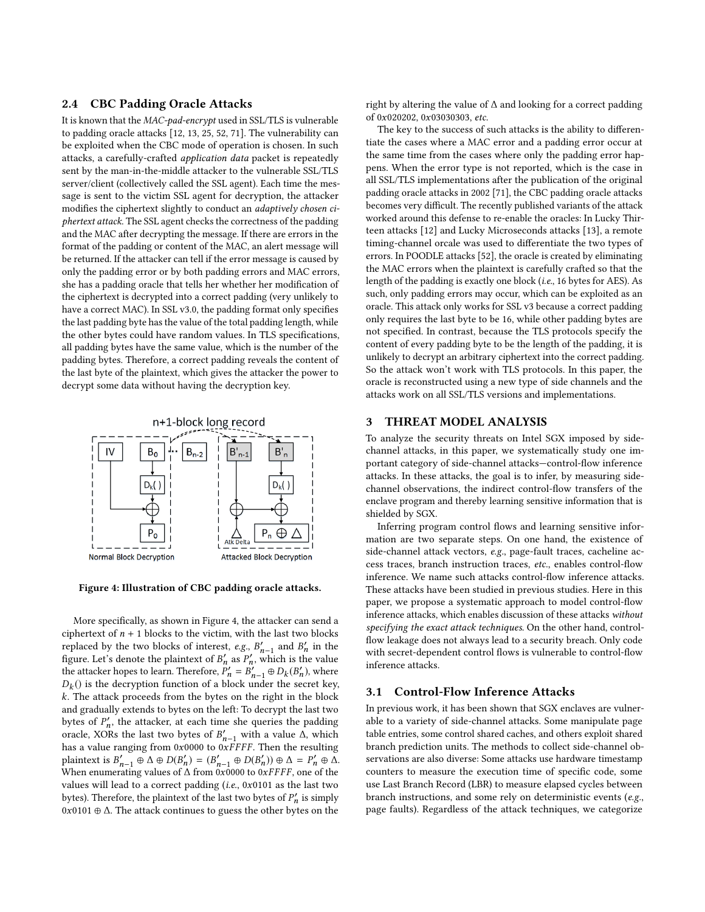# 2.4 CBC Padding Oracle Attacks

It is known that the MAC-pad-encrypt used in SSL/TLS is vulnerable to padding oracle attacks [\[12,](#page-13-12) [13,](#page-13-29) [25,](#page-13-30) [52,](#page-14-8) [71\]](#page-14-18). The vulnerability can be exploited when the CBC mode of operation is chosen. In such attacks, a carefully-crafted application data packet is repeatedly sent by the man-in-the-middle attacker to the vulnerable SSL/TLS server/client (collectively called the SSL agent). Each time the message is sent to the victim SSL agent for decryption, the attacker modifies the ciphertext slightly to conduct an adaptively chosen ciphertext attack. The SSL agent checks the correctness of the padding and the MAC after decrypting the message. If there are errors in the format of the padding or content of the MAC, an alert message will be returned. If the attacker can tell if the error message is caused by only the padding error or by both padding errors and MAC errors, she has a padding oracle that tells her whether her modification of the ciphertext is decrypted into a correct padding (very unlikely to have a correct MAC). In SSL v3.0, the padding format only specifies the last padding byte has the value of the total padding length, while the other bytes could have random values. In TLS specifications, all padding bytes have the same value, which is the number of the padding bytes. Therefore, a correct padding reveals the content of the last byte of the plaintext, which gives the attacker the power to decrypt some data without having the decryption key.

<span id="page-4-1"></span>

Figure 4: Illustration of CBC padding oracle attacks.

More specifically, as shown in Figure [4,](#page-4-1) the attacker can send a ciphertext of  $n + 1$  blocks to the victim, with the last two blocks replaced by the two blocks of interest, e.g.,  $B'_{n-1}$  and  $B'_n$  in the figure. Let's denote the plaintext of  $B'_n$  as  $P'_n$ , which is the value the attacker hopes to learn. Therefore,  $P'_n = B'_{n-1} \oplus D_k(B'_n)$ , where  $D_k()$  is the decryption function of a block under the secret key, k. The attack proceeds from the bytes on the right in the block and gradually extends to bytes on the left: To decrypt the last two bytes of  $P'_n$ , the attacker, at each time she queries the padding oracle, XORs the last two bytes of  $B'_{n-1}$  with a value  $\Delta$ , which<br>has a value ranging from 0x0000 to 0xEEEE. Then the resulting has a value ranging from  $0x0000$  to  $0xFFFF$ . Then the resulting plaintext is  $B'_{n-1} \oplus \Delta \oplus D(B'_n) = (B'_{n-1} \oplus D(B'_n)) \oplus \Delta = P'_n \oplus \Delta$ .<br>When enumerating values of  $\Delta$  from 0x0000 to 0xFEFF, one of the When enumerating values of  $\Delta$  from 0x0000 to 0xFFFF, one of the values will lead to a correct padding (i.e., 0x0101 as the last two bytes). Therefore, the plaintext of the last two bytes of  $P'_n$  is simply <sup>0</sup>x<sup>0101</sup> <sup>⊕</sup> ∆. The attack continues to guess the other bytes on the

right by altering the value of ∆ and looking for a correct padding of 0x020202, 0x03030303, etc.

The key to the success of such attacks is the ability to differentiate the cases where a MAC error and a padding error occur at the same time from the cases where only the padding error happens. When the error type is not reported, which is the case in all SSL/TLS implementations after the publication of the original padding oracle attacks in 2002 [\[71\]](#page-14-18), the CBC padding oracle attacks becomes very difficult. The recently published variants of the attack worked around this defense to re-enable the oracles: In Lucky Thirteen attacks [\[12\]](#page-13-12) and Lucky Microseconds attacks [\[13\]](#page-13-29), a remote timing-channel orcale was used to differentiate the two types of errors. In POODLE attacks [\[52\]](#page-14-8), the oracle is created by eliminating the MAC errors when the plaintext is carefully crafted so that the length of the padding is exactly one block (i.e., 16 bytes for AES). As such, only padding errors may occur, which can be exploited as an oracle. This attack only works for SSL v3 because a correct padding only requires the last byte to be 16, while other padding bytes are not specified. In contrast, because the TLS protocols specify the content of every padding byte to be the length of the padding, it is unlikely to decrypt an arbitrary ciphertext into the correct padding. So the attack won't work with TLS protocols. In this paper, the oracle is reconstructed using a new type of side channels and the attacks work on all SSL/TLS versions and implementations.

## <span id="page-4-0"></span>3 THREAT MODEL ANALYSIS

To analyze the security threats on Intel SGX imposed by sidechannel attacks, in this paper, we systematically study one important category of side-channel attacks—control-flow inference attacks. In these attacks, the goal is to infer, by measuring sidechannel observations, the indirect control-flow transfers of the enclave program and thereby learning sensitive information that is shielded by SGX.

Inferring program control flows and learning sensitive information are two separate steps. On one hand, the existence of side-channel attack vectors, e.g., page-fault traces, cacheline access traces, branch instruction traces, etc., enables control-flow inference. We name such attacks control-flow inference attacks. These attacks have been studied in previous studies. Here in this paper, we propose a systematic approach to model control-flow inference attacks, which enables discussion of these attacks without specifying the exact attack techniques. On the other hand, controlflow leakage does not always lead to a security breach. Only code with secret-dependent control flows is vulnerable to control-flow inference attacks.

## 3.1 Control-Flow Inference Attacks

In previous work, it has been shown that SGX enclaves are vulnerable to a variety of side-channel attacks. Some manipulate page table entries, some control shared caches, and others exploit shared branch prediction units. The methods to collect side-channel observations are also diverse: Some attacks use hardware timestamp counters to measure the execution time of specific code, some use Last Branch Record (LBR) to measure elapsed cycles between branch instructions, and some rely on deterministic events (e.g., page faults). Regardless of the attack techniques, we categorize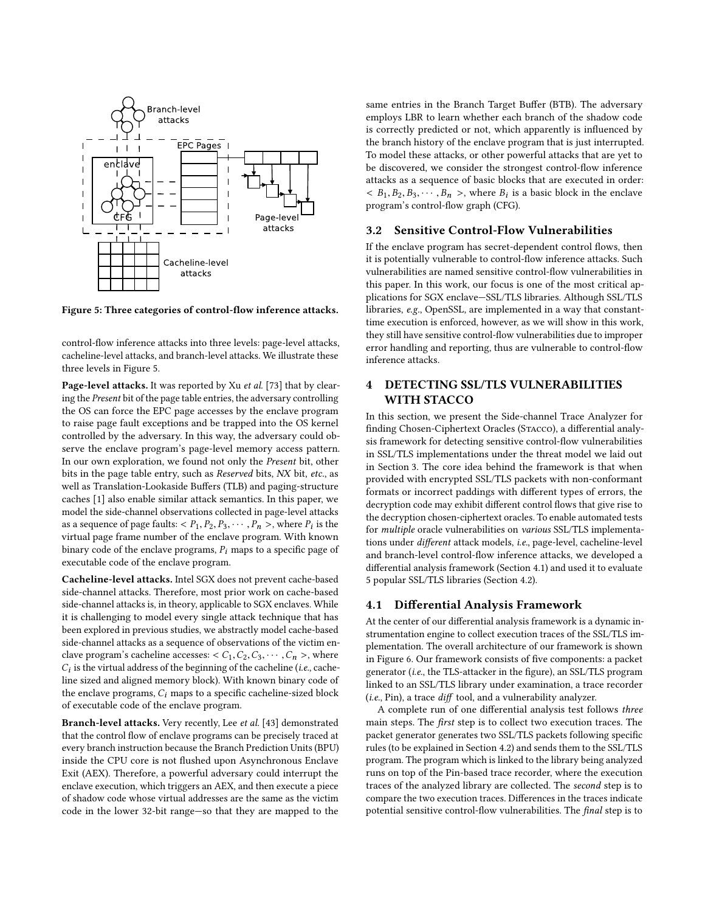<span id="page-5-1"></span>

Figure 5: Three categories of control-flow inference attacks.

control-flow inference attacks into three levels: page-level attacks, cacheline-level attacks, and branch-level attacks. We illustrate these three levels in Figure [5.](#page-5-1)

Page-level attacks. It was reported by Xu et al. [\[73\]](#page-14-11) that by clearing the Present bit of the page table entries, the adversary controlling the OS can force the EPC page accesses by the enclave program to raise page fault exceptions and be trapped into the OS kernel controlled by the adversary. In this way, the adversary could observe the enclave program's page-level memory access pattern. In our own exploration, we found not only the Present bit, other bits in the page table entry, such as Reserved bits, NX bit, etc., as well as Translation-Lookaside Buffers (TLB) and paging-structure caches [\[1\]](#page-13-31) also enable similar attack semantics. In this paper, we model the side-channel observations collected in page-level attacks as a sequence of page faults:  $\langle P_1, P_2, P_3, \dots, P_n \rangle$ , where  $P_i$  is the virtual page frame number of the enclave program. With known virtual page frame number of the enclave program. With known binary code of the enclave programs,  $P_i$  maps to a specific page of executable code of the enclave program.

Cacheline-level attacks. Intel SGX does not prevent cache-based side-channel attacks. Therefore, most prior work on cache-based side-channel attacks is, in theory, applicable to SGX enclaves. While it is challenging to model every single attack technique that has been explored in previous studies, we abstractly model cache-based side-channel attacks as a sequence of observations of the victim enclave program's cacheline accesses:  $\langle C_1, C_2, C_3, \cdots, C_n \rangle$ , where  $C_i$  is the virtual address of the beginning of the cacheline (*i.e.*, cacheline sized and aligned memory block). With known binary code of the enclave programs,  $C_i$  maps to a specific cacheline-sized block of executable code of the enclave program.

Branch-level attacks. Very recently, Lee et al. [\[43\]](#page-13-19) demonstrated that the control flow of enclave programs can be precisely traced at every branch instruction because the Branch Prediction Units (BPU) inside the CPU core is not flushed upon Asynchronous Enclave Exit (AEX). Therefore, a powerful adversary could interrupt the enclave execution, which triggers an AEX, and then execute a piece of shadow code whose virtual addresses are the same as the victim code in the lower 32-bit range—so that they are mapped to the same entries in the Branch Target Buffer (BTB). The adversary employs LBR to learn whether each branch of the shadow code is correctly predicted or not, which apparently is influenced by the branch history of the enclave program that is just interrupted. To model these attacks, or other powerful attacks that are yet to be discovered, we consider the strongest control-flow inference attacks as a sequence of basic blocks that are executed in order:  $\langle B_1, B_2, B_3, \cdots, B_n \rangle$ , where  $B_i$  is a basic block in the enclave program's control-flow graph (CFG).

#### 3.2 Sensitive Control-Flow Vulnerabilities

If the enclave program has secret-dependent control flows, then it is potentially vulnerable to control-flow inference attacks. Such vulnerabilities are named sensitive control-flow vulnerabilities in this paper. In this work, our focus is one of the most critical applications for SGX enclave—SSL/TLS libraries. Although SSL/TLS libraries, e.g., OpenSSL, are implemented in a way that constanttime execution is enforced, however, as we will show in this work, they still have sensitive control-flow vulnerabilities due to improper error handling and reporting, thus are vulnerable to control-flow inference attacks.

# <span id="page-5-0"></span>4 DETECTING SSL/TLS VULNERABILITIES WITH STACCO

In this section, we present the Side-channel Trace Analyzer for finding Chosen-Ciphertext Oracles (STACCO), a differential analysis framework for detecting sensitive control-flow vulnerabilities in SSL/TLS implementations under the threat model we laid out in Section [3.](#page-4-0) The core idea behind the framework is that when provided with encrypted SSL/TLS packets with non-conformant formats or incorrect paddings with different types of errors, the decryption code may exhibit different control flows that give rise to the decryption chosen-ciphertext oracles. To enable automated tests for multiple oracle vulnerabilities on various SSL/TLS implementations under different attack models, i.e., page-level, cacheline-level and branch-level control-flow inference attacks, we developed a differential analysis framework (Section [4.1\)](#page-5-2) and used it to evaluate 5 popular SSL/TLS libraries (Section [4.2\)](#page-7-0).

## <span id="page-5-2"></span>4.1 Differential Analysis Framework

At the center of our differential analysis framework is a dynamic instrumentation engine to collect execution traces of the SSL/TLS implementation. The overall architecture of our framework is shown in Figure [6.](#page-6-0) Our framework consists of five components: a packet generator (i.e., the TLS-attacker in the figure), an SSL/TLS program linked to an SSL/TLS library under examination, a trace recorder  $(i.e., Pin)$ , a trace  $diff$  tool, and a vulnerability analyzer.

A complete run of one differential analysis test follows three main steps. The first step is to collect two execution traces. The packet generator generates two SSL/TLS packets following specific rules (to be explained in Section [4.2\)](#page-7-0) and sends them to the SSL/TLS program. The program which is linked to the library being analyzed runs on top of the Pin-based trace recorder, where the execution traces of the analyzed library are collected. The second step is to compare the two execution traces. Differences in the traces indicate potential sensitive control-flow vulnerabilities. The final step is to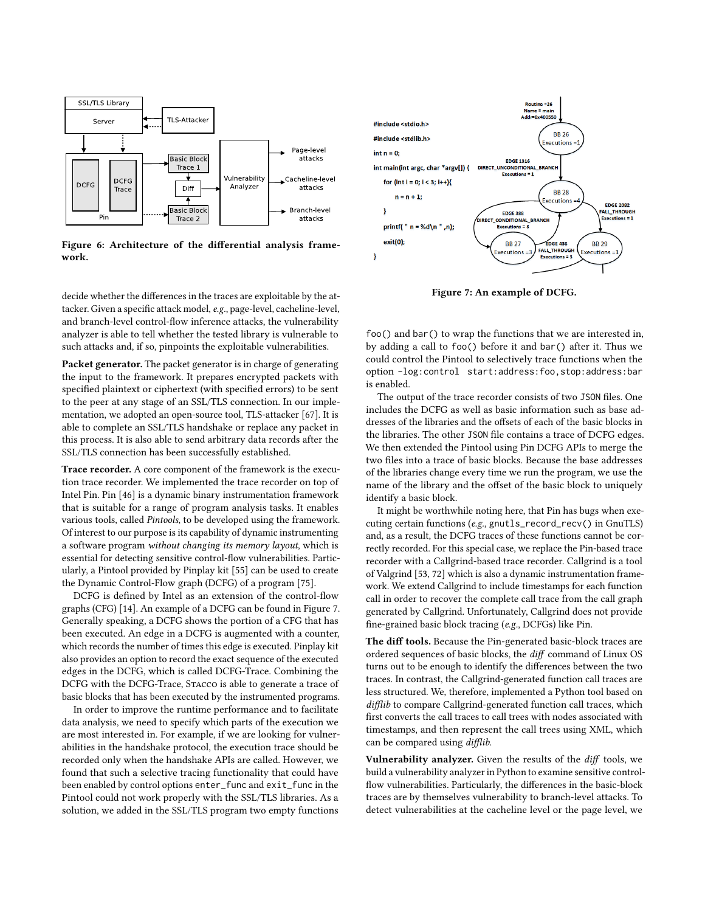<span id="page-6-0"></span>

Figure 6: Architecture of the differential analysis framework.

decide whether the differences in the traces are exploitable by the attacker. Given a specific attack model, e.g., page-level, cacheline-level, and branch-level control-flow inference attacks, the vulnerability analyzer is able to tell whether the tested library is vulnerable to such attacks and, if so, pinpoints the exploitable vulnerabilities.

Packet generator. The packet generator is in charge of generating the input to the framework. It prepares encrypted packets with specified plaintext or ciphertext (with specified errors) to be sent to the peer at any stage of an SSL/TLS connection. In our implementation, we adopted an open-source tool, TLS-attacker [\[67\]](#page-14-19). It is able to complete an SSL/TLS handshake or replace any packet in this process. It is also able to send arbitrary data records after the SSL/TLS connection has been successfully established.

Trace recorder. A core component of the framework is the execution trace recorder. We implemented the trace recorder on top of Intel Pin. Pin [\[46\]](#page-13-21) is a dynamic binary instrumentation framework that is suitable for a range of program analysis tasks. It enables various tools, called Pintools, to be developed using the framework. Of interest to our purpose is its capability of dynamic instrumenting a software program without changing its memory layout, which is essential for detecting sensitive control-flow vulnerabilities. Particularly, a Pintool provided by Pinplay kit [\[55\]](#page-14-20) can be used to create the Dynamic Control-Flow graph (DCFG) of a program [\[75\]](#page-14-21).

DCFG is defined by Intel as an extension of the control-flow graphs (CFG) [\[14\]](#page-13-32). An example of a DCFG can be found in Figure [7.](#page-6-1) Generally speaking, a DCFG shows the portion of a CFG that has been executed. An edge in a DCFG is augmented with a counter, which records the number of times this edge is executed. Pinplay kit also provides an option to record the exact sequence of the executed edges in the DCFG, which is called DCFG-Trace. Combining the DCFG with the DCFG-Trace, STACCO is able to generate a trace of basic blocks that has been executed by the instrumented programs.

In order to improve the runtime performance and to facilitate data analysis, we need to specify which parts of the execution we are most interested in. For example, if we are looking for vulnerabilities in the handshake protocol, the execution trace should be recorded only when the handshake APIs are called. However, we found that such a selective tracing functionality that could have been enabled by control options enter\_func and exit\_func in the Pintool could not work properly with the SSL/TLS libraries. As a solution, we added in the SSL/TLS program two empty functions

<span id="page-6-1"></span>

Figure 7: An example of DCFG.

foo() and bar() to wrap the functions that we are interested in, by adding a call to foo() before it and bar() after it. Thus we could control the Pintool to selectively trace functions when the option -log:control start:address:foo,stop:address:bar is enabled.

The output of the trace recorder consists of two JSON files. One includes the DCFG as well as basic information such as base addresses of the libraries and the offsets of each of the basic blocks in the libraries. The other JSON file contains a trace of DCFG edges. We then extended the Pintool using Pin DCFG APIs to merge the two files into a trace of basic blocks. Because the base addresses of the libraries change every time we run the program, we use the name of the library and the offset of the basic block to uniquely identify a basic block.

It might be worthwhile noting here, that Pin has bugs when executing certain functions (e.g., gnutls\_record\_recv() in GnuTLS) and, as a result, the DCFG traces of these functions cannot be correctly recorded. For this special case, we replace the Pin-based trace recorder with a Callgrind-based trace recorder. Callgrind is a tool of Valgrind [\[53,](#page-14-22) [72\]](#page-14-23) which is also a dynamic instrumentation framework. We extend Callgrind to include timestamps for each function call in order to recover the complete call trace from the call graph generated by Callgrind. Unfortunately, Callgrind does not provide fine-grained basic block tracing (e.g., DCFGs) like Pin.

The diff tools. Because the Pin-generated basic-block traces are ordered sequences of basic blocks, the diff command of Linux OS turns out to be enough to identify the differences between the two traces. In contrast, the Callgrind-generated function call traces are less structured. We, therefore, implemented a Python tool based on difflib to compare Callgrind-generated function call traces, which first converts the call traces to call trees with nodes associated with timestamps, and then represent the call trees using XML, which can be compared using difflib.

Vulnerability analyzer. Given the results of the diff tools, we build a vulnerability analyzer in Python to examine sensitive controlflow vulnerabilities. Particularly, the differences in the basic-block traces are by themselves vulnerability to branch-level attacks. To detect vulnerabilities at the cacheline level or the page level, we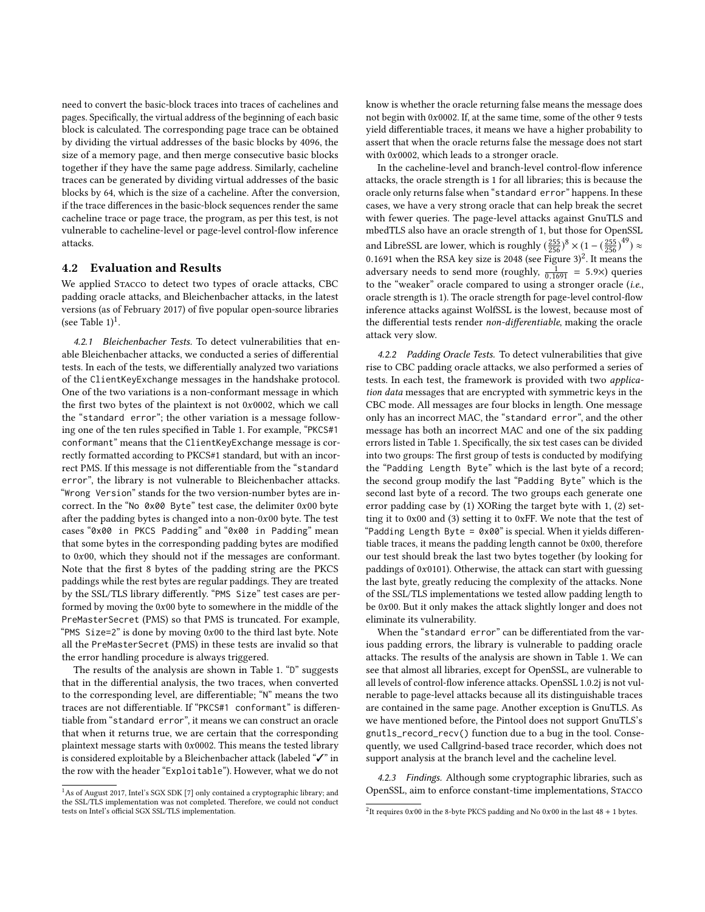need to convert the basic-block traces into traces of cachelines and pages. Specifically, the virtual address of the beginning of each basic block is calculated. The corresponding page trace can be obtained by dividing the virtual addresses of the basic blocks by 4096, the size of a memory page, and then merge consecutive basic blocks together if they have the same page address. Similarly, cacheline traces can be generated by dividing virtual addresses of the basic blocks by 64, which is the size of a cacheline. After the conversion, if the trace differences in the basic-block sequences render the same cacheline trace or page trace, the program, as per this test, is not vulnerable to cacheline-level or page-level control-flow inference attacks.

#### <span id="page-7-0"></span>4.2 Evaluation and Results

We applied STACCO to detect two types of oracle attacks, CBC padding oracle attacks, and Bleichenbacher attacks, in the latest versions (as of February 2017) of five popular open-source libraries (see Table  $1)^1$  $1)^1$ .

4.2.1 Bleichenbacher Tests. To detect vulnerabilities that enable Bleichenbacher attacks, we conducted a series of differential tests. In each of the tests, we differentially analyzed two variations of the ClientKeyExchange messages in the handshake protocol. One of the two variations is a non-conformant message in which the first two bytes of the plaintext is not  $0x0002$ , which we call the "standard error"; the other variation is a message following one of the ten rules specified in Table [1.](#page-8-1) For example, "PKCS#1 conformant" means that the ClientKeyExchange message is correctly formatted according to PKCS#1 standard, but with an incorrect PMS. If this message is not differentiable from the "standard error", the library is not vulnerable to Bleichenbacher attacks. "Wrong Version" stands for the two version-number bytes are incorrect. In the "No 0x00 Byte" test case, the delimiter 0x00 byte after the padding bytes is changed into a non- $0x00$  byte. The test cases "0x00 in PKCS Padding" and "0x00 in Padding" mean that some bytes in the corresponding padding bytes are modified to 0x00, which they should not if the messages are conformant. Note that the first 8 bytes of the padding string are the PKCS paddings while the rest bytes are regular paddings. They are treated by the SSL/TLS library differently. "PMS Size" test cases are performed by moving the  $0x00$  byte to somewhere in the middle of the PreMasterSecret (PMS) so that PMS is truncated. For example, "PMS Size=2" is done by moving  $0x00$  to the third last byte. Note all the PreMasterSecret (PMS) in these tests are invalid so that the error handling procedure is always triggered.

The results of the analysis are shown in Table [1.](#page-8-1) "D" suggests that in the differential analysis, the two traces, when converted to the corresponding level, are differentiable; "N" means the two traces are not differentiable. If "PKCS#1 conformant" is differentiable from "standard error", it means we can construct an oracle that when it returns true, we are certain that the corresponding plaintext message starts with  $0x0002$ . This means the tested library is considered exploitable by a Bleichenbacher attack (labeled "✓" in the row with the header "Exploitable"). However, what we do not know is whether the oracle returning false means the message does not begin with  $0x0002$ . If, at the same time, some of the other 9 tests yield differentiable traces, it means we have a higher probability to assert that when the oracle returns false the message does not start with 0x0002, which leads to a stronger oracle.

In the cacheline-level and branch-level control-flow inference attacks, the oracle strength is 1 for all libraries; this is because the oracle only returns false when "standard error" happens. In these cases, we have a very strong oracle that can help break the secret with fewer queries. The page-level attacks against GnuTLS and mbedTLS also have an oracle strength of 1, but those for OpenSSL and LibreSSL are lower, which is roughly  $(\frac{255}{256})^8 \times (1 - (\frac{255}{256})^{49}) \approx$ 0.1691 when the RSA key size is 2048 (see Figure [3\)](#page-3-0)<sup>[2](#page-7-2)</sup>. It means the advanceus needs to send more (roughly  $\frac{1}{1}$  = 5.0×) quories adversary needs to send more (roughly,  $\frac{1}{0.1691}$  = 5.9×) queries<br>to the "weaker" oracle compared to using a stronger oracle (i.e. to the "weaker" oracle compared to using a stronger oracle (i.e., oracle strength is 1). The oracle strength for page-level control-flow inference attacks against WolfSSL is the lowest, because most of the differential tests render non-differentiable, making the oracle attack very slow.

4.2.2 Padding Oracle Tests. To detect vulnerabilities that give rise to CBC padding oracle attacks, we also performed a series of tests. In each test, the framework is provided with two application data messages that are encrypted with symmetric keys in the CBC mode. All messages are four blocks in length. One message only has an incorrect MAC, the "standard error", and the other message has both an incorrect MAC and one of the six padding errors listed in Table [1.](#page-8-1) Specifically, the six test cases can be divided into two groups: The first group of tests is conducted by modifying the "Padding Length Byte" which is the last byte of a record; the second group modify the last "Padding Byte" which is the second last byte of a record. The two groups each generate one error padding case by (1) XORing the target byte with 1, (2) setting it to 0x00 and (3) setting it to 0xFF. We note that the test of "Padding Length Byte = 0x00" is special. When it yields differentiable traces, it means the padding length cannot be 0x00, therefore our test should break the last two bytes together (by looking for paddings of  $0x0101$ ). Otherwise, the attack can start with guessing the last byte, greatly reducing the complexity of the attacks. None of the SSL/TLS implementations we tested allow padding length to be 0x00. But it only makes the attack slightly longer and does not eliminate its vulnerability.

When the "standard error" can be differentiated from the various padding errors, the library is vulnerable to padding oracle attacks. The results of the analysis are shown in Table [1.](#page-8-1) We can see that almost all libraries, except for OpenSSL, are vulnerable to all levels of control-flow inference attacks. OpenSSL 1.0.2j is not vulnerable to page-level attacks because all its distinguishable traces are contained in the same page. Another exception is GnuTLS. As we have mentioned before, the Pintool does not support GnuTLS's gnutls\_record\_recv() function due to a bug in the tool. Consequently, we used Callgrind-based trace recorder, which does not support analysis at the branch level and the cacheline level.

4.2.3 Findings. Although some cryptographic libraries, such as OpenSSL, aim to enforce constant-time implementations, Stacco

<span id="page-7-1"></span><sup>1</sup>As of August 2017, Intel's SGX SDK [\[7\]](#page-13-33) only contained a cryptographic library; and the SSL/TLS implementation was not completed. Therefore, we could not conduct tests on Intel's official SGX SSL/TLS implementation.

<span id="page-7-2"></span><sup>&</sup>lt;sup>2</sup>It requires 0x00 in the 8-byte PKCS padding and No 0x00 in the last 48 + 1 bytes.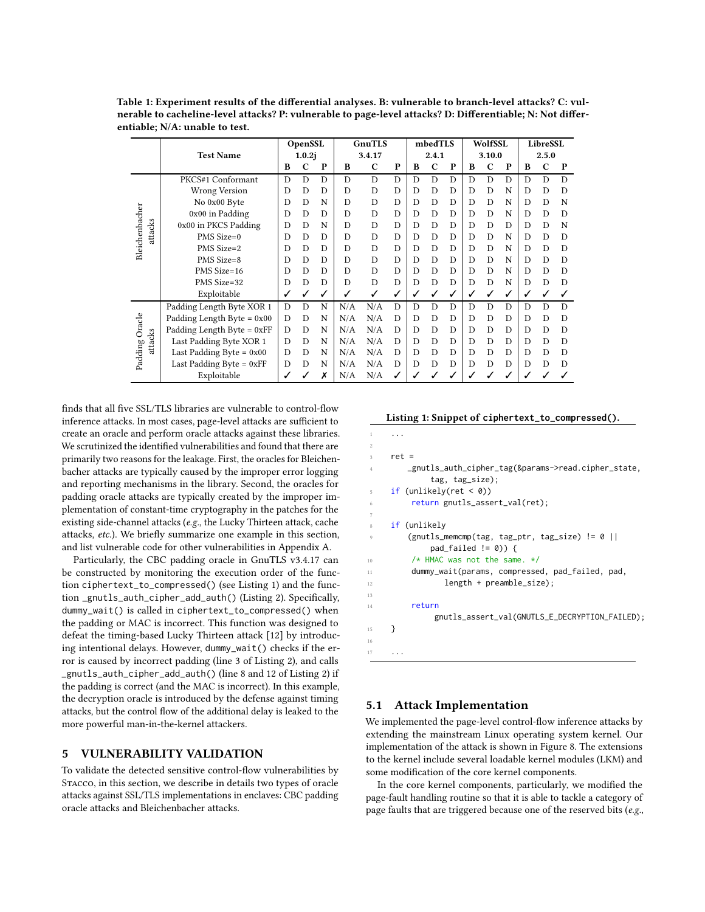<span id="page-8-1"></span>Table 1: Experiment results of the differential analyses. B: vulnerable to branch-level attacks? C: vulnerable to cacheline-level attacks? P: vulnerable to page-level attacks? D: Differentiable; N: Not differentiable; N/A: unable to test.

|                              |                              | OpenSSL      |        | GnuTLS |        | mbedTLS |       | WolfSSL |        |   | LibreSSL |       |   |   |   |   |
|------------------------------|------------------------------|--------------|--------|--------|--------|---------|-------|---------|--------|---|----------|-------|---|---|---|---|
|                              | <b>Test Name</b>             |              | 1.0.2i |        | 3.4.17 |         | 2.4.1 |         | 3.10.0 |   |          | 2.5.0 |   |   |   |   |
|                              |                              | в            |        | P      | B      | C       | P     | В       | C      | P | в        | C     | P | B | С | P |
| Bleichenbacher<br>attacks    | PKCS#1 Conformant            | D            | D      | D      | D      | D       | D     | D       | D      | D | D        | D     | D | D | D | D |
|                              | <b>Wrong Version</b>         |              | D      | D      | D      | D       | D     | D       | D      | D | D        | D     | N | D | D | D |
|                              | No 0x00 Byte                 |              | D      | N      | D      | D       | D     | D       | D      | D | D        | D     | N | D | D | N |
|                              | $0x00$ in Padding            |              | D      | D      | D      | D       | D     | D       | D      | D | D        | D     | N | D | D | D |
|                              | 0x00 in PKCS Padding         | D            | D      | N      | D      | D       | D     | D       | D      | D | D        | D     | D | D | D | N |
|                              | PMS Size=0                   | D            | D      | D      | D      | D       | D     | D       | D      | D | D        | D     | N | D | D | D |
|                              | PMS Size=2                   |              | D      | D      | D      | D       | D     | D       | D      | D | D        | D     | N | D | D | D |
|                              | PMS Size=8                   | D            | D      | D      | D      | D       | D     | D       | D      | D | D        | D     | N | D | D | D |
|                              | PMS Size=16                  | D            | D      | D      | D      | D       | D     | D       | D      | D | D        | D     | N | D | D | D |
|                              | PMS Size=32                  | D            | D      | D      | D      | D       | D     | D       | D      | D | D        | D     | N | D | D | D |
|                              | Exploitable                  | ✓            |        | √      | ✓      |         |       | ✓       |        |   | ✓        |       |   |   |   |   |
| Oracle<br>attacks<br>Padding | Padding Length Byte XOR 1    | D            | D      | N      | N/A    | N/A     | D     | D       | D      | D | D        | D     | D | D | D | D |
|                              | Padding Length Byte = $0x00$ | D            | D      | N      | N/A    | N/A     | D     | D       | D      | D | D        | D     | D | D | D | D |
|                              | Padding Length Byte = $0xFF$ |              | D      | N      | N/A    | N/A     | D     | D       | D      | D | D        | D     | D | D | D | D |
|                              | Last Padding Byte XOR 1      |              | D      | N      | N/A    | N/A     | D     | D       | D      | D | D        | D     | D | D | D | D |
|                              | Last Padding Byte = $0x00$   | D            | D      | N      | N/A    | N/A     | D     | D       | D      | D | D        | D     | D | D | D | D |
|                              | Last Padding Byte = $0xFF$   | D            | D      | N      | N/A    | N/A     | D     | D       | D      | D | D        | D     | D | D | D | D |
|                              | Exploitable                  | $\checkmark$ |        | х      | N/A    | N/A     |       |         |        |   |          |       |   |   |   |   |

finds that all five SSL/TLS libraries are vulnerable to control-flow inference attacks. In most cases, page-level attacks are sufficient to create an oracle and perform oracle attacks against these libraries. We scrutinized the identified vulnerabilities and found that there are primarily two reasons for the leakage. First, the oracles for Bleichenbacher attacks are typically caused by the improper error logging and reporting mechanisms in the library. Second, the oracles for padding oracle attacks are typically created by the improper implementation of constant-time cryptography in the patches for the existing side-channel attacks (e.g., the Lucky Thirteen attack, cache attacks, etc.). We briefly summarize one example in this section, and list vulnerable code for other vulnerabilities in Appendix [A.](#page-14-24)

Particularly, the CBC padding oracle in GnuTLS v3.4.17 can be constructed by monitoring the execution order of the function ciphertext\_to\_compressed() (see Listing [1\)](#page-8-2) and the function \_gnutls\_auth\_cipher\_add\_auth() (Listing [2\)](#page-9-0). Specifically, dummy\_wait() is called in ciphertext\_to\_compressed() when the padding or MAC is incorrect. This function was designed to defeat the timing-based Lucky Thirteen attack [\[12\]](#page-13-12) by introducing intentional delays. However, dummy\_wait() checks if the error is caused by incorrect padding (line 3 of Listing [2\)](#page-9-0), and calls \_gnutls\_auth\_cipher\_add\_auth() (line 8 and 12 of Listing [2\)](#page-9-0) if the padding is correct (and the MAC is incorrect). In this example, the decryption oracle is introduced by the defense against timing attacks, but the control flow of the additional delay is leaked to the more powerful man-in-the-kernel attackers.

#### <span id="page-8-0"></span>5 VULNERABILITY VALIDATION

To validate the detected sensitive control-flow vulnerabilities by Stacco, in this section, we describe in details two types of oracle attacks against SSL/TLS implementations in enclaves: CBC padding oracle attacks and Bleichenbacher attacks.

#### <span id="page-8-2"></span>Listing 1: Snippet of **ciphertext\_to\_compressed()**.

```
1 ...
2
3 ret =_gnutls_auth_cipher_tag(&params->read.cipher_state,
             tag, tag_size);
5 if (unlikely(ret < 0))
         return gnutls_assert_val(ret);
7
8 if (unlikely
9 (gnutls_memcmp(tag, tag_ptr, tag_size) != 0 ||
             pad_failed != 0)) {
10 /* HMAC was not the same. */
11 dummy_wait(params, compressed, pad_failed, pad,
12 length + preamble_size);
13
14 return
             gnutls_assert_val(GNUTLS_E_DECRYPTION_FAILED);
15 }
16
17 \cdot \cdot \cdot
```
#### 5.1 Attack Implementation

We implemented the page-level control-flow inference attacks by extending the mainstream Linux operating system kernel. Our implementation of the attack is shown in Figure [8.](#page-9-1) The extensions to the kernel include several loadable kernel modules (LKM) and some modification of the core kernel components.

In the core kernel components, particularly, we modified the page-fault handling routine so that it is able to tackle a category of page faults that are triggered because one of the reserved bits (e.g.,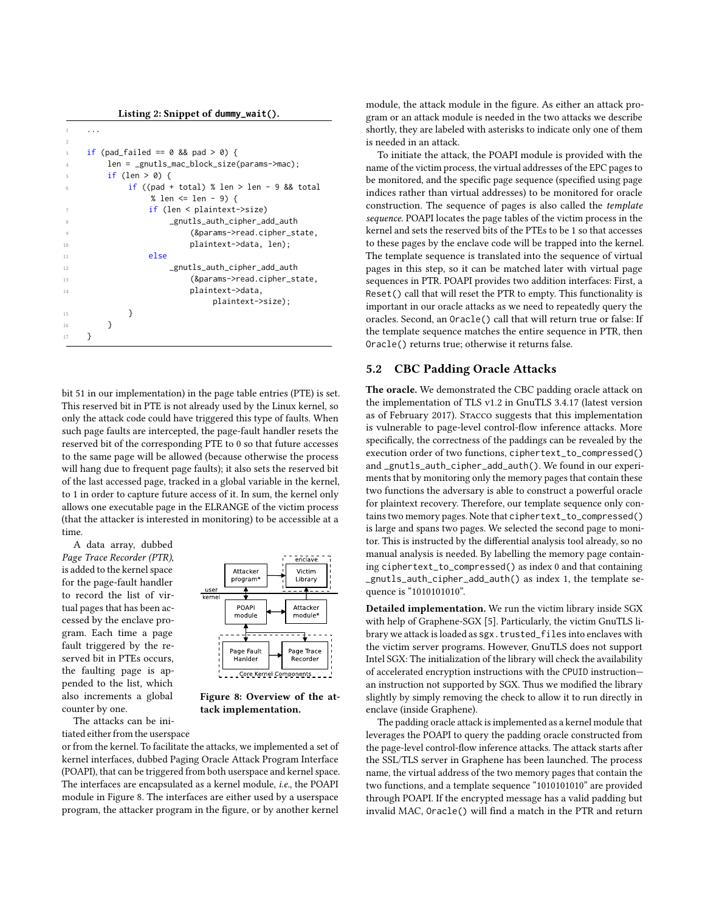#### Listing 2: Snippet of **dummy\_wait()**.

```
1 ...
2
\frac{1}{3} if (pad_failed == 0 && pad > 0) {
       4 len = _gnutls_mac_block_size(params->mac);
5 if (len > 0) {
           if ((pad + total) % len > len - 9 && total
               % len <= len - 9) {
              if (len < plaintext->size)
                  _gnutls_auth_cipher_add_auth
                     (&params->read.cipher_state,
10 plaintext->data, len);
11 else
12 _gnutls_auth_cipher_add_auth
13 (&params->read.cipher_state,
14 plaintext->data.
                         plaintext->size);
15 }
16 }
17 }
```
bit 51 in our implementation) in the page table entries (PTE) is set. This reserved bit in PTE is not already used by the Linux kernel, so only the attack code could have triggered this type of faults. When such page faults are intercepted, the page-fault handler resets the reserved bit of the corresponding PTE to 0 so that future accesses to the same page will be allowed (because otherwise the process will hang due to frequent page faults); it also sets the reserved bit of the last accessed page, tracked in a global variable in the kernel, to 1 in order to capture future access of it. In sum, the kernel only allows one executable page in the ELRANGE of the victim process (that the attacker is interested in monitoring) to be accessible at a time.

A data array, dubbed Page Trace Recorder (PTR), is added to the kernel space for the page-fault handler to record the list of virtual pages that has been accessed by the enclave program. Each time a page fault triggered by the reserved bit in PTEs occurs, the faulting page is appended to the list, which also increments a global counter by one.

<span id="page-9-1"></span>

Figure 8: Overview of the attack implementation.

The attacks can be initiated either from the userspace

or from the kernel. To facilitate the attacks, we implemented a set of kernel interfaces, dubbed Paging Oracle Attack Program Interface (POAPI), that can be triggered from both userspace and kernel space. The interfaces are encapsulated as a kernel module, i.e., the POAPI module in Figure [8.](#page-9-1) The interfaces are either used by a userspace program, the attacker program in the figure, or by another kernel

module, the attack module in the figure. As either an attack program or an attack module is needed in the two attacks we describe shortly, they are labeled with asterisks to indicate only one of them is needed in an attack.

To initiate the attack, the POAPI module is provided with the name of the victim process, the virtual addresses of the EPC pages to be monitored, and the specific page sequence (specified using page indices rather than virtual addresses) to be monitored for oracle construction. The sequence of pages is also called the template sequence. POAPI locates the page tables of the victim process in the kernel and sets the reserved bits of the PTEs to be 1 so that accesses to these pages by the enclave code will be trapped into the kernel. The template sequence is translated into the sequence of virtual pages in this step, so it can be matched later with virtual page sequences in PTR. POAPI provides two addition interfaces: First, a Reset() call that will reset the PTR to empty. This functionality is important in our oracle attacks as we need to repeatedly query the oracles. Second, an Oracle() call that will return true or false: If the template sequence matches the entire sequence in PTR, then Oracle() returns true; otherwise it returns false.

#### 5.2 CBC Padding Oracle Attacks

The oracle. We demonstrated the CBC padding oracle attack on the implementation of TLS v1.2 in GnuTLS 3.4.17 (latest version as of February 2017). Stacco suggests that this implementation is vulnerable to page-level control-flow inference attacks. More specifically, the correctness of the paddings can be revealed by the execution order of two functions, ciphertext\_to\_compressed() and \_gnutls\_auth\_cipher\_add\_auth(). We found in our experiments that by monitoring only the memory pages that contain these two functions the adversary is able to construct a powerful oracle for plaintext recovery. Therefore, our template sequence only contains two memory pages. Note that ciphertext\_to\_compressed() is large and spans two pages. We selected the second page to monitor. This is instructed by the differential analysis tool already, so no manual analysis is needed. By labelling the memory page containing ciphertext\_to\_compressed() as index 0 and that containing \_gnutls\_auth\_cipher\_add\_auth() as index 1, the template sequence is "1010101010".

Detailed implementation. We run the victim library inside SGX with help of Graphene-SGX [\[5\]](#page-13-34). Particularly, the victim GnuTLS library we attack is loaded as sgx.trusted\_files into enclaves with the victim server programs. However, GnuTLS does not support Intel SGX: The initialization of the library will check the availability of accelerated encryption instructions with the CPUID instruction an instruction not supported by SGX. Thus we modified the library slightly by simply removing the check to allow it to run directly in enclave (inside Graphene).

The padding oracle attack is implemented as a kernel module that leverages the POAPI to query the padding oracle constructed from the page-level control-flow inference attacks. The attack starts after the SSL/TLS server in Graphene has been launched. The process name, the virtual address of the two memory pages that contain the two functions, and a template sequence "1010101010" are provided through POAPI. If the encrypted message has a valid padding but invalid MAC, Oracle() will find a match in the PTR and return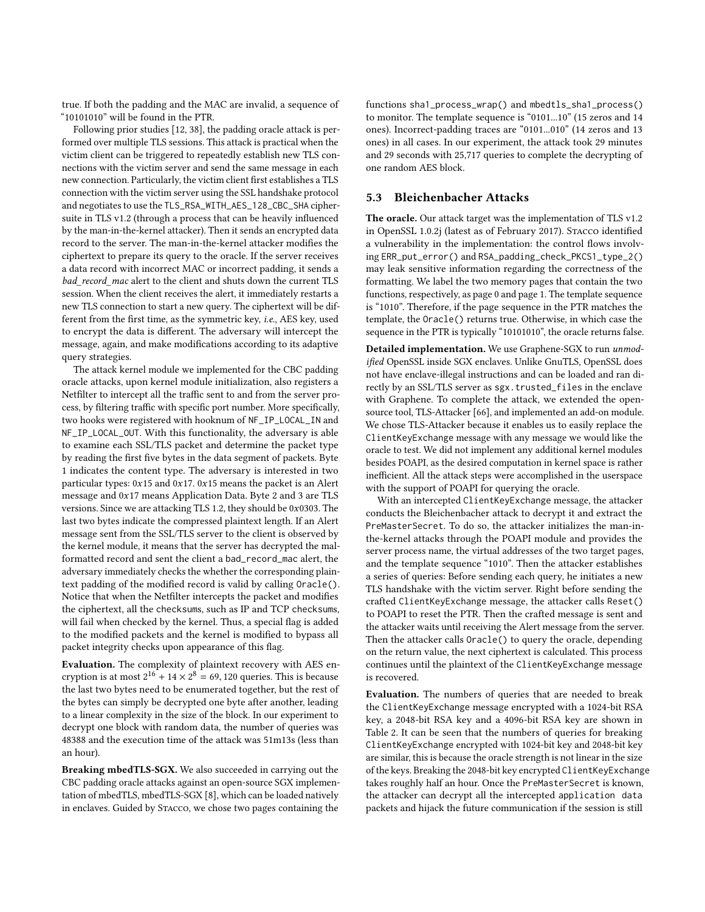true. If both the padding and the MAC are invalid, a sequence of "10101010" will be found in the PTR.

Following prior studies [\[12,](#page-13-12) [38\]](#page-13-35), the padding oracle attack is performed over multiple TLS sessions. This attack is practical when the victim client can be triggered to repeatedly establish new TLS connections with the victim server and send the same message in each new connection. Particularly, the victim client first establishes a TLS connection with the victim server using the SSL handshake protocol and negotiates to use the TLS\_RSA\_WITH\_AES\_128\_CBC\_SHA ciphersuite in TLS v1.2 (through a process that can be heavily influenced by the man-in-the-kernel attacker). Then it sends an encrypted data record to the server. The man-in-the-kernel attacker modifies the ciphertext to prepare its query to the oracle. If the server receives a data record with incorrect MAC or incorrect padding, it sends a bad\_record\_mac alert to the client and shuts down the current TLS session. When the client receives the alert, it immediately restarts a new TLS connection to start a new query. The ciphertext will be different from the first time, as the symmetric key, i.e., AES key, used to encrypt the data is different. The adversary will intercept the message, again, and make modifications according to its adaptive query strategies.

The attack kernel module we implemented for the CBC padding oracle attacks, upon kernel module initialization, also registers a Netfilter to intercept all the traffic sent to and from the server process, by filtering traffic with specific port number. More specifically, two hooks were registered with hooknum of NF\_IP\_LOCAL\_IN and NF\_IP\_LOCAL\_OUT. With this functionality, the adversary is able to examine each SSL/TLS packet and determine the packet type by reading the first five bytes in the data segment of packets. Byte 1 indicates the content type. The adversary is interested in two particular types:  $0x15$  and  $0x17$ .  $0x15$  means the packet is an Alert message and 0x17 means Application Data. Byte 2 and 3 are TLS versions. Since we are attacking TLS 1.2, they should be 0x0303. The last two bytes indicate the compressed plaintext length. If an Alert message sent from the SSL/TLS server to the client is observed by the kernel module, it means that the server has decrypted the malformatted record and sent the client a bad\_record\_mac alert, the adversary immediately checks the whether the corresponding plaintext padding of the modified record is valid by calling Oracle(). Notice that when the Netfilter intercepts the packet and modifies the ciphertext, all the checksums, such as IP and TCP checksums, will fail when checked by the kernel. Thus, a special flag is added to the modified packets and the kernel is modified to bypass all packet integrity checks upon appearance of this flag.

Evaluation. The complexity of plaintext recovery with AES encryption is at most  $2^{16} + 14 \times 2^8 = 69$ , 120 queries. This is because<br>the last two bytes need to be enumerated together, but the rest of the last two bytes need to be enumerated together, but the rest of the bytes can simply be decrypted one byte after another, leading to a linear complexity in the size of the block. In our experiment to decrypt one block with random data, the number of queries was 48388 and the execution time of the attack was 51m13s (less than an hour).

Breaking mbedTLS-SGX. We also succeeded in carrying out the CBC padding oracle attacks against an open-source SGX implementation of mbedTLS, mbedTLS-SGX [\[8\]](#page-13-25), which can be loaded natively in enclaves. Guided by Stacco, we chose two pages containing the

functions sha1\_process\_wrap() and mbedtls\_sha1\_process() to monitor. The template sequence is "0101...10" (15 zeros and 14 ones). Incorrect-padding traces are "0101...010" (14 zeros and 13 ones) in all cases. In our experiment, the attack took 29 minutes and 29 seconds with 25,717 queries to complete the decrypting of one random AES block.

### 5.3 Bleichenbacher Attacks

The oracle. Our attack target was the implementation of TLS v1.2 in OpenSSL 1.0.2j (latest as of February 2017). Stacco identified a vulnerability in the implementation: the control flows involving ERR\_put\_error() and RSA\_padding\_check\_PKCS1\_type\_2() may leak sensitive information regarding the correctness of the formatting. We label the two memory pages that contain the two functions, respectively, as page 0 and page 1. The template sequence is "1010". Therefore, if the page sequence in the PTR matches the template, the Oracle() returns true. Otherwise, in which case the sequence in the PTR is typically "10101010", the oracle returns false.

Detailed implementation. We use Graphene-SGX to run unmodified OpenSSL inside SGX enclaves. Unlike GnuTLS, OpenSSL does not have enclave-illegal instructions and can be loaded and ran directly by an SSL/TLS server as sgx.trusted\_files in the enclave with Graphene. To complete the attack, we extended the opensource tool, TLS-Attacker [\[66\]](#page-14-15), and implemented an add-on module. We chose TLS-Attacker because it enables us to easily replace the ClientKeyExchange message with any message we would like the oracle to test. We did not implement any additional kernel modules besides POAPI, as the desired computation in kernel space is rather inefficient. All the attack steps were accomplished in the userspace with the support of POAPI for querying the oracle.

With an intercepted ClientKeyExchange message, the attacker conducts the Bleichenbacher attack to decrypt it and extract the PreMasterSecret. To do so, the attacker initializes the man-inthe-kernel attacks through the POAPI module and provides the server process name, the virtual addresses of the two target pages, and the template sequence "1010". Then the attacker establishes a series of queries: Before sending each query, he initiates a new TLS handshake with the victim server. Right before sending the crafted ClientKeyExchange message, the attacker calls Reset() to POAPI to reset the PTR. Then the crafted message is sent and the attacker waits until receiving the Alert message from the server. Then the attacker calls Oracle() to query the oracle, depending on the return value, the next ciphertext is calculated. This process continues until the plaintext of the ClientKeyExchange message is recovered.

Evaluation. The numbers of queries that are needed to break the ClientKeyExchange message encrypted with a 1024-bit RSA key, a 2048-bit RSA key and a 4096-bit RSA key are shown in Table [2.](#page-11-2) It can be seen that the numbers of queries for breaking ClientKeyExchange encrypted with 1024-bit key and 2048-bit key are similar, this is because the oracle strength is not linear in the size of the keys. Breaking the 2048-bit key encrypted ClientKeyExchange takes roughly half an hour. Once the PreMasterSecret is known, the attacker can decrypt all the intercepted application data packets and hijack the future communication if the session is still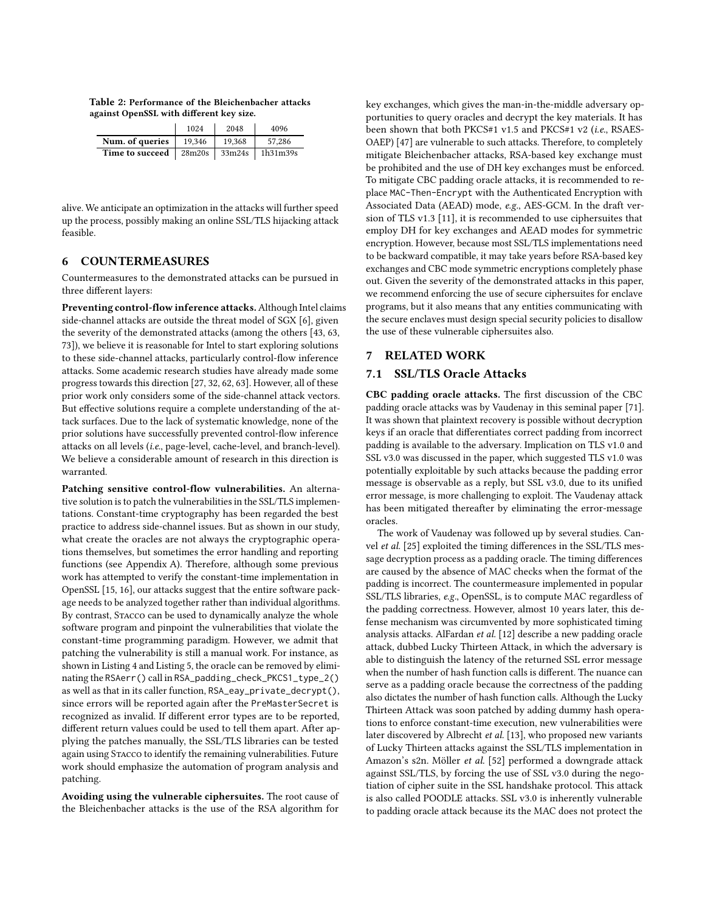<span id="page-11-2"></span>Table 2: Performance of the Bleichenbacher attacks against OpenSSL with different key size.

|                 | 1024   | 2048   | 4096     |
|-----------------|--------|--------|----------|
| Num. of queries | 19.346 | 19.368 | 57.286   |
| Time to succeed | 28m20s | 33m24s | 1h31m39s |

alive. We anticipate an optimization in the attacks will further speed up the process, possibly making an online SSL/TLS hijacking attack feasible.

#### <span id="page-11-0"></span>6 COUNTERMEASURES

Countermeasures to the demonstrated attacks can be pursued in three different layers:

Preventing control-flow inference attacks.Although Intel claims side-channel attacks are outside the threat model of SGX [\[6\]](#page-13-36), given the severity of the demonstrated attacks (among the others [\[43,](#page-13-19) [63,](#page-14-10) [73\]](#page-14-11)), we believe it is reasonable for Intel to start exploring solutions to these side-channel attacks, particularly control-flow inference attacks. Some academic research studies have already made some progress towards this direction [\[27,](#page-13-37) [32,](#page-13-38) [62,](#page-14-25) [63\]](#page-14-10). However, all of these prior work only considers some of the side-channel attack vectors. But effective solutions require a complete understanding of the attack surfaces. Due to the lack of systematic knowledge, none of the prior solutions have successfully prevented control-flow inference attacks on all levels (i.e., page-level, cache-level, and branch-level). We believe a considerable amount of research in this direction is warranted.

Patching sensitive control-flow vulnerabilities. An alternative solution is to patch the vulnerabilities in the SSL/TLS implementations. Constant-time cryptography has been regarded the best practice to address side-channel issues. But as shown in our study, what create the oracles are not always the cryptographic operations themselves, but sometimes the error handling and reporting functions (see Appendix [A\)](#page-14-24). Therefore, although some previous work has attempted to verify the constant-time implementation in OpenSSL [\[15,](#page-13-39) [16\]](#page-13-40), our attacks suggest that the entire software package needs to be analyzed together rather than individual algorithms. By contrast, STACCO can be used to dynamically analyze the whole software program and pinpoint the vulnerabilities that violate the constant-time programming paradigm. However, we admit that patching the vulnerability is still a manual work. For instance, as shown in Listing [4](#page-15-0) and Listing [5,](#page-15-1) the oracle can be removed by eliminating the RSAerr() call in RSA\_padding\_check\_PKCS1\_type\_2() as well as that in its caller function, RSA\_eay\_private\_decrypt(), since errors will be reported again after the PreMasterSecret is recognized as invalid. If different error types are to be reported, different return values could be used to tell them apart. After applying the patches manually, the SSL/TLS libraries can be tested again using Stacco to identify the remaining vulnerabilities. Future work should emphasize the automation of program analysis and patching.

Avoiding using the vulnerable ciphersuites. The root cause of the Bleichenbacher attacks is the use of the RSA algorithm for

key exchanges, which gives the man-in-the-middle adversary opportunities to query oracles and decrypt the key materials. It has been shown that both PKCS#1 v1.5 and PKCS#1 v2 (i.e., RSAES-OAEP) [\[47\]](#page-13-28) are vulnerable to such attacks. Therefore, to completely mitigate Bleichenbacher attacks, RSA-based key exchange must be prohibited and the use of DH key exchanges must be enforced. To mitigate CBC padding oracle attacks, it is recommended to replace MAC-Then-Encrypt with the Authenticated Encryption with Associated Data (AEAD) mode, e.g., AES-GCM. In the draft version of TLS v1.3 [\[11\]](#page-13-41), it is recommended to use ciphersuites that employ DH for key exchanges and AEAD modes for symmetric encryption. However, because most SSL/TLS implementations need to be backward compatible, it may take years before RSA-based key exchanges and CBC mode symmetric encryptions completely phase out. Given the severity of the demonstrated attacks in this paper, we recommend enforcing the use of secure ciphersuites for enclave programs, but it also means that any entities communicating with the secure enclaves must design special security policies to disallow the use of these vulnerable ciphersuites also.

# <span id="page-11-1"></span>7 RELATED WORK

# 7.1 SSL/TLS Oracle Attacks

CBC padding oracle attacks. The first discussion of the CBC padding oracle attacks was by Vaudenay in this seminal paper [\[71\]](#page-14-18). It was shown that plaintext recovery is possible without decryption keys if an oracle that differentiates correct padding from incorrect padding is available to the adversary. Implication on TLS v1.0 and SSL v3.0 was discussed in the paper, which suggested TLS v1.0 was potentially exploitable by such attacks because the padding error message is observable as a reply, but SSL v3.0, due to its unified error message, is more challenging to exploit. The Vaudenay attack has been mitigated thereafter by eliminating the error-message oracles.

The work of Vaudenay was followed up by several studies. Canvel et al. [\[25\]](#page-13-30) exploited the timing differences in the SSL/TLS message decryption process as a padding oracle. The timing differences are caused by the absence of MAC checks when the format of the padding is incorrect. The countermeasure implemented in popular SSL/TLS libraries, e.g., OpenSSL, is to compute MAC regardless of the padding correctness. However, almost 10 years later, this defense mechanism was circumvented by more sophisticated timing analysis attacks. AlFardan et al. [\[12\]](#page-13-12) describe a new padding oracle attack, dubbed Lucky Thirteen Attack, in which the adversary is able to distinguish the latency of the returned SSL error message when the number of hash function calls is different. The nuance can serve as a padding oracle because the correctness of the padding also dictates the number of hash function calls. Although the Lucky Thirteen Attack was soon patched by adding dummy hash operations to enforce constant-time execution, new vulnerabilities were later discovered by Albrecht et al. [\[13\]](#page-13-29), who proposed new variants of Lucky Thirteen attacks against the SSL/TLS implementation in Amazon's s2n. Möller et al. [\[52\]](#page-14-8) performed a downgrade attack against SSL/TLS, by forcing the use of SSL v3.0 during the negotiation of cipher suite in the SSL handshake protocol. This attack is also called POODLE attacks. SSL v3.0 is inherently vulnerable to padding oracle attack because its the MAC does not protect the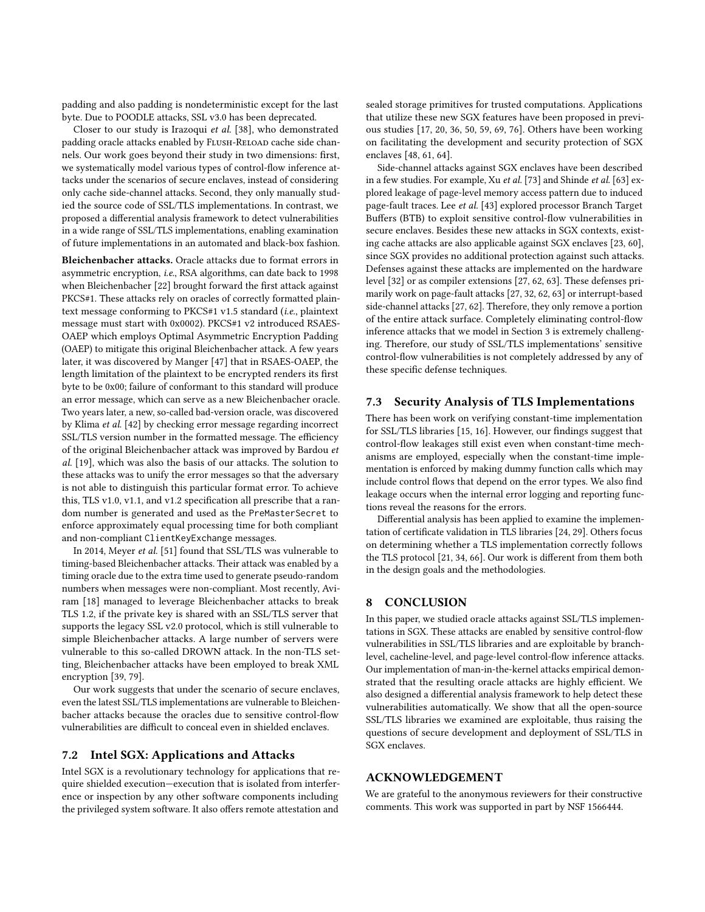padding and also padding is nondeterministic except for the last byte. Due to POODLE attacks, SSL v3.0 has been deprecated.

Closer to our study is Irazoqui et al. [\[38\]](#page-13-35), who demonstrated padding oracle attacks enabled by FLUSH-RELOAD cache side channels. Our work goes beyond their study in two dimensions: first, we systematically model various types of control-flow inference attacks under the scenarios of secure enclaves, instead of considering only cache side-channel attacks. Second, they only manually studied the source code of SSL/TLS implementations. In contrast, we proposed a differential analysis framework to detect vulnerabilities in a wide range of SSL/TLS implementations, enabling examination of future implementations in an automated and black-box fashion.

Bleichenbacher attacks. Oracle attacks due to format errors in asymmetric encryption, i.e., RSA algorithms, can date back to 1998 when Bleichenbacher [\[22\]](#page-13-13) brought forward the first attack against PKCS#1. These attacks rely on oracles of correctly formatted plaintext message conforming to PKCS#1 v1.5 standard (i.e., plaintext message must start with 0x0002). PKCS#1 v2 introduced RSAES-OAEP which employs Optimal Asymmetric Encryption Padding (OAEP) to mitigate this original Bleichenbacher attack. A few years later, it was discovered by Manger [\[47\]](#page-13-28) that in RSAES-OAEP, the length limitation of the plaintext to be encrypted renders its first byte to be 0x00; failure of conformant to this standard will produce an error message, which can serve as a new Bleichenbacher oracle. Two years later, a new, so-called bad-version oracle, was discovered by Klima et al. [\[42\]](#page-13-27) by checking error message regarding incorrect SSL/TLS version number in the formatted message. The efficiency of the original Bleichenbacher attack was improved by Bardou et al. [\[19\]](#page-13-26), which was also the basis of our attacks. The solution to these attacks was to unify the error messages so that the adversary is not able to distinguish this particular format error. To achieve this, TLS v1.0, v1.1, and v1.2 specification all prescribe that a random number is generated and used as the PreMasterSecret to enforce approximately equal processing time for both compliant and non-compliant ClientKeyExchange messages.

In 2014, Meyer et al. [\[51\]](#page-13-42) found that SSL/TLS was vulnerable to timing-based Bleichenbacher attacks. Their attack was enabled by a timing oracle due to the extra time used to generate pseudo-random numbers when messages were non-compliant. Most recently, Aviram [\[18\]](#page-13-14) managed to leverage Bleichenbacher attacks to break TLS 1.2, if the private key is shared with an SSL/TLS server that supports the legacy SSL v2.0 protocol, which is still vulnerable to simple Bleichenbacher attacks. A large number of servers were vulnerable to this so-called DROWN attack. In the non-TLS setting, Bleichenbacher attacks have been employed to break XML encryption [\[39,](#page-13-43) [79\]](#page-14-13).

Our work suggests that under the scenario of secure enclaves, even the latest SSL/TLS implementations are vulnerable to Bleichenbacher attacks because the oracles due to sensitive control-flow vulnerabilities are difficult to conceal even in shielded enclaves.

#### 7.2 Intel SGX: Applications and Attacks

Intel SGX is a revolutionary technology for applications that require shielded execution—execution that is isolated from interference or inspection by any other software components including the privileged system software. It also offers remote attestation and

sealed storage primitives for trusted computations. Applications that utilize these new SGX features have been proposed in previous studies [\[17,](#page-13-44) [20,](#page-13-9) [36,](#page-13-10) [50,](#page-13-45) [59,](#page-14-5) [69,](#page-14-26) [76\]](#page-14-7). Others have been working on facilitating the development and security protection of SGX enclaves [\[48,](#page-13-46) [61,](#page-14-27) [64\]](#page-14-28).

Side-channel attacks against SGX enclaves have been described in a few studies. For example, Xu et al. [\[73\]](#page-14-11) and Shinde et al. [\[63\]](#page-14-10) explored leakage of page-level memory access pattern due to induced page-fault traces. Lee et al. [\[43\]](#page-13-19) explored processor Branch Target Buffers (BTB) to exploit sensitive control-flow vulnerabilities in secure enclaves. Besides these new attacks in SGX contexts, existing cache attacks are also applicable against SGX enclaves [\[23,](#page-13-22) [60\]](#page-14-16), since SGX provides no additional protection against such attacks. Defenses against these attacks are implemented on the hardware level [\[32\]](#page-13-38) or as compiler extensions [\[27,](#page-13-37) [62,](#page-14-25) [63\]](#page-14-10). These defenses primarily work on page-fault attacks [\[27,](#page-13-37) [32,](#page-13-38) [62,](#page-14-25) [63\]](#page-14-10) or interrupt-based side-channel attacks [\[27,](#page-13-37) [62\]](#page-14-25). Therefore, they only remove a portion of the entire attack surface. Completely eliminating control-flow inference attacks that we model in Section [3](#page-4-0) is extremely challenging. Therefore, our study of SSL/TLS implementations' sensitive control-flow vulnerabilities is not completely addressed by any of these specific defense techniques.

## 7.3 Security Analysis of TLS Implementations

There has been work on verifying constant-time implementation for SSL/TLS libraries [\[15,](#page-13-39) [16\]](#page-13-40). However, our findings suggest that control-flow leakages still exist even when constant-time mechanisms are employed, especially when the constant-time implementation is enforced by making dummy function calls which may include control flows that depend on the error types. We also find leakage occurs when the internal error logging and reporting functions reveal the reasons for the errors.

Differential analysis has been applied to examine the implementation of certificate validation in TLS libraries [\[24,](#page-13-47) [29\]](#page-13-48). Others focus on determining whether a TLS implementation correctly follows the TLS protocol [\[21,](#page-13-49) [34,](#page-13-50) [66\]](#page-14-15). Our work is different from them both in the design goals and the methodologies.

# <span id="page-12-0"></span>8 CONCLUSION

In this paper, we studied oracle attacks against SSL/TLS implementations in SGX. These attacks are enabled by sensitive control-flow vulnerabilities in SSL/TLS libraries and are exploitable by branchlevel, cacheline-level, and page-level control-flow inference attacks. Our implementation of man-in-the-kernel attacks empirical demonstrated that the resulting oracle attacks are highly efficient. We also designed a differential analysis framework to help detect these vulnerabilities automatically. We show that all the open-source SSL/TLS libraries we examined are exploitable, thus raising the questions of secure development and deployment of SSL/TLS in SGX enclaves.

# ACKNOWLEDGEMENT

We are grateful to the anonymous reviewers for their constructive comments. This work was supported in part by NSF 1566444.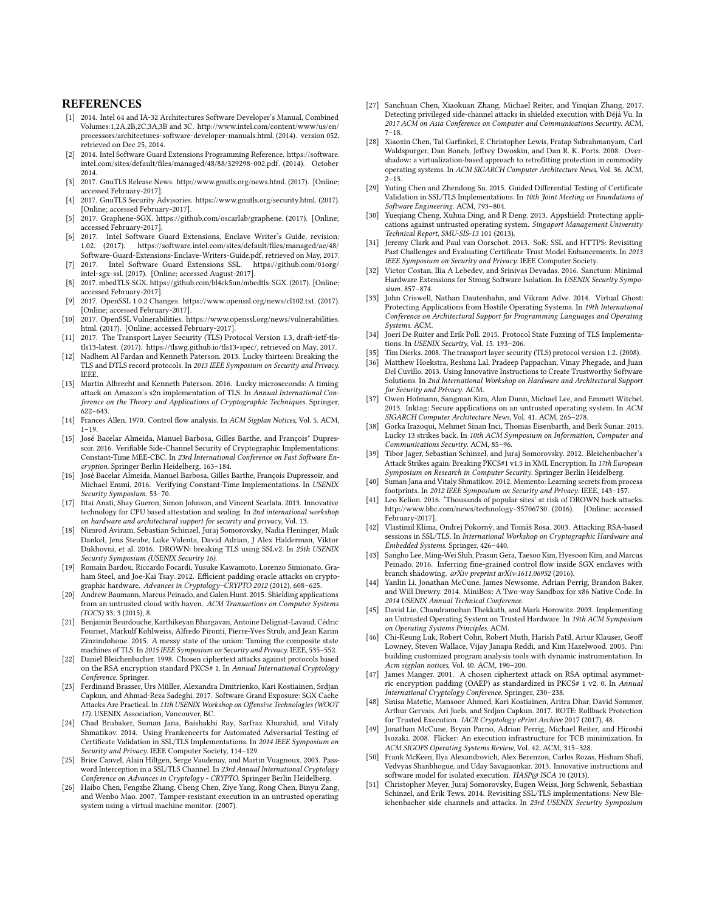## **REFERENCES**

- <span id="page-13-31"></span>[1] 2014. Intel 64 and IA-32 Architectures Software Developer's Manual, Combined Volumes:1,2A,2B,2C,3A,3B and 3C. [http://www.intel.com/content/www/us/en/](http://www.intel.com/content/www/us/en/processors/architectures-software-developer-manuals.html) [processors/architectures-software-developer-manuals.html.](http://www.intel.com/content/www/us/en/processors/architectures-software-developer-manuals.html) (2014). version 052, retrieved on Dec 25, 2014.
- <span id="page-13-8"></span>[2] 2014. Intel Software Guard Extensions Programming Reference. [https://software.](https://software.intel.com/sites/default/files/managed/48/88/329298-002.pdf) [intel.com/sites/default/files/managed/48/88/329298-002.pdf.](https://software.intel.com/sites/default/files/managed/48/88/329298-002.pdf) (2014). October 2014.
- <span id="page-13-24"></span>[3] 2017. GnuTLS Release News. [http://www.gnutls.org/news.html.](http://www.gnutls.org/news.html) (2017). [Online; accessed February-2017].
- <span id="page-13-17"></span>[4] 2017. GnuTLS Security Advisories. [https://www.gnutls.org/security.html.](https://www.gnutls.org/security.html) (2017). [Online; accessed February-2017].
- <span id="page-13-34"></span>[5] 2017. Graphene-SGX. [https://github.com/oscarlab/graphene.](https://github.com/oscarlab/graphene) (2017). [Online; accessed February-2017].
- <span id="page-13-36"></span>[6] 2017. Intel Software Guard Extensions, Enclave Writer's Guide, revision: 1.02. (2017). [https://software.intel.com/sites/default/files/managed/ae/48/](https://software.intel.com/sites/default/files/managed/ae/48/Software-Guard-Extensions-Enclave-Writers-Guide.pdf) [Software-Guard-Extensions-Enclave-Writers-Guide.pdf,](https://software.intel.com/sites/default/files/managed/ae/48/Software-Guard-Extensions-Enclave-Writers-Guide.pdf) retrieved on May, 2017.
- <span id="page-13-33"></span>[7] 2017. Intel Software Guard Extensions SSL. [https://github.com/01org/](https://github.com/01org/intel-sgx-ssl) [intel-sgx-ssl.](https://github.com/01org/intel-sgx-ssl) (2017). [Online; accessed August-2017].
- <span id="page-13-25"></span>[8] 2017. mbedTLS-SGX. [https://github.com/bl4ck5un/mbedtls-SGX.](https://github.com/bl4ck5un/mbedtls-SGX) (2017). [Online; accessed February-2017].
- <span id="page-13-23"></span>[9] 2017. OpenSSL 1.0.2 Changes. [https://www.openssl.org/news/cl102.txt.](https://www.openssl.org/news/cl102.txt) (2017). [Online; accessed February-2017].
- <span id="page-13-18"></span>[10] 2017. OpenSSL Vulnerabilities. [https://www.openssl.org/news/vulnerabilities.](https://www.openssl.org/news/vulnerabilities.html) [html.](https://www.openssl.org/news/vulnerabilities.html) (2017). [Online; accessed February-2017].
- <span id="page-13-41"></span>[11] 2017. The Transport Layer Security (TLS) Protocol Version 1.3, draft-ietf-tlstls13-latest. (2017). [https://tlswg.github.io/tls13-spec/,](https://tlswg.github.io/tls13-spec/) retrieved on May, 2017.
- <span id="page-13-12"></span>[12] Nadhem Al Fardan and Kenneth Paterson. 2013. Lucky thirteen: Breaking the TLS and DTLS record protocols. In 2013 IEEE Symposium on Security and Privacy. IEEE.
- <span id="page-13-29"></span>[13] Martin Albrecht and Kenneth Paterson. 2016. Lucky microseconds: A timing attack on Amazon's s2n implementation of TLS. In Annual International Conference on the Theory and Applications of Cryptographic Techniques. Springer, 622–643.
- <span id="page-13-32"></span>[14] Frances Allen. 1970. Control flow analysis. In ACM Sigplan Notices, Vol. 5. ACM,  $1 - 19$
- <span id="page-13-39"></span>[15] José Bacelar Almeida, Manuel Barbosa, Gilles Barthe, and Francois" Dupressoir. 2016. Verifiable Side-Channel Security of Cryptographic Implementations: Constant-Time MEE-CBC. In 23rd International Conference on Fast Software Encryption. Springer Berlin Heidelberg, 163–184.
- <span id="page-13-40"></span>[16] José Bacelar Almeida, Manuel Barbosa, Gilles Barthe, François Dupressoir, and Michael Emmi. 2016. Verifying Constant-Time Implementations. In USENIX Security Symposium. 53–70.
- <span id="page-13-44"></span>[17] Ittai Anati, Shay Gueron, Simon Johnson, and Vincent Scarlata. 2013. Innovative technology for CPU based attestation and sealing. In 2nd international workshop on hardware and architectural support for security and privacy, Vol. 13.
- <span id="page-13-14"></span>[18] Nimrod Aviram, Sebastian Schinzel, Juraj Somorovsky, Nadia Heninger, Maik Dankel, Jens Steube, Luke Valenta, David Adrian, J Alex Halderman, Viktor Dukhovni, et al. 2016. DROWN: breaking TLS using SSLv2. In 25th USENIX Security Symposium (USENIX Security 16).
- <span id="page-13-26"></span>[19] Romain Bardou, Riccardo Focardi, Yusuke Kawamoto, Lorenzo Simionato, Graham Steel, and Joe-Kai Tsay. 2012. Efficient padding oracle attacks on cryptographic hardware. Advances in Cryptology–CRYPTO 2012 (2012), 608–625.
- <span id="page-13-9"></span>[20] Andrew Baumann, Marcus Peinado, and Galen Hunt. 2015. Shielding applications from an untrusted cloud with haven. ACM Transactions on Computer Systems (TOCS) 33, 3 (2015), 8.
- <span id="page-13-49"></span>[21] Benjamin Beurdouche, Karthikeyan Bhargavan, Antoine Delignat-Lavaud, Cédric Fournet, Markulf Kohlweiss, Alfredo Pironti, Pierre-Yves Strub, and Jean Karim Zinzindohoue. 2015. A messy state of the union: Taming the composite state machines of TLS. In 2015 IEEE Symposium on Security and Privacy. IEEE, 535–552.
- <span id="page-13-13"></span>[22] Daniel Bleichenbacher. 1998. Chosen ciphertext attacks against protocols based on the RSA encryption standard PKCS# 1. In Annual International Cryptology Conference. Springer.
- <span id="page-13-22"></span>[23] Ferdinand Brasser, Urs Müller, Alexandra Dmitrienko, Kari Kostiainen, Srdjan Capkun, and Ahmad-Reza Sadeghi. 2017. Software Grand Exposure: SGX Cache Attacks Are Practical. In 11th USENIX Workshop on Offensive Technologies (WOOT 17). USENIX Association, Vancouver, BC.
- <span id="page-13-47"></span>[24] Chad Brubaker, Suman Jana, Baishakhi Ray, Sarfraz Khurshid, and Vitaly Shmatikov. 2014. Using Frankencerts for Automated Adversarial Testing of Certificate Validation in SSL/TLS Implementations. In 2014 IEEE Symposium on Security and Privacy. IEEE Computer Society, 114–129.
- <span id="page-13-30"></span>[25] Brice Canvel, Alain Hiltgen, Serge Vaudenay, and Martin Vuagnoux. 2003. Password Interception in a SSL/TLS Channel. In 23rd Annual International Cryptology Conference on Advances in Cryptology - CRYPTO. Springer Berlin Heidelberg.
- <span id="page-13-0"></span>[26] Haibo Chen, Fengzhe Zhang, Cheng Chen, Ziye Yang, Rong Chen, Binyu Zang, and Wenbo Mao. 2007. Tamper-resistant execution in an untrusted operating system using a virtual machine monitor. (2007).
- <span id="page-13-37"></span>[27] Sanchuan Chen, Xiaokuan Zhang, Michael Reiter, and Yinqian Zhang. 2017. Detecting privileged side-channel attacks in shielded execution with Déjá Vu. In 2017 ACM on Asia Conference on Computer and Communications Security. ACM, 7–18.
- <span id="page-13-1"></span>[28] Xiaoxin Chen, Tal Garfinkel, E Christopher Lewis, Pratap Subrahmanyam, Carl Waldspurger, Dan Boneh, Jeffrey Dwoskin, and Dan R. K. Ports. 2008. Overshadow: a virtualization-based approach to retrofitting protection in commodity operating systems. In ACM SIGARCH Computer Architecture News, Vol. 36. ACM,  $2 - 13$ .
- <span id="page-13-48"></span>[29] Yuting Chen and Zhendong Su. 2015. Guided Differential Testing of Certificate Validation in SSL/TLS Implementations. In 10th Joint Meeting on Foundations of Software Engineering. ACM, 793–804.
- <span id="page-13-2"></span>[30] Yueqiang Cheng, Xuhua Ding, and R Deng. 2013. Appshield: Protecting applications against untrusted operating system. Singaport Management University Technical Report, SMU-SIS-13 101 (2013).
- <span id="page-13-11"></span>[31] Jeremy Clark and Paul van Oorschot. 2013. SoK: SSL and HTTPS: Revisiting Past Challenges and Evaluating Certificate Trust Model Enhancements. In 2013 IEEE Symposium on Security and Privacy. IEEE Computer Society.
- <span id="page-13-38"></span>[32] Victor Costan, Ilia A Lebedev, and Srinivas Devadas. 2016. Sanctum: Minimal Hardware Extensions for Strong Software Isolation. In USENIX Security Symposium. 857–874.
- <span id="page-13-3"></span>[33] John Criswell, Nathan Dautenhahn, and Vikram Adve. 2014. Virtual Ghost: Protecting Applications from Hostile Operating Systems. In 19th International Conference on Architectural Support for Programming Languages and Operating Systems. ACM.
- <span id="page-13-50"></span>[34] Joeri De Ruiter and Erik Poll. 2015. Protocol State Fuzzing of TLS Implementations. In USENIX Security, Vol. 15. 193-206.
- <span id="page-13-16"></span>[35] Tim Dierks. 2008. The transport layer security (TLS) protocol version 1.2. (2008).
- <span id="page-13-10"></span>Matthew Hoekstra, Reshma Lal, Pradeep Pappachan, Vinay Phegade, and Juan Del Cuvillo. 2013. Using Innovative Instructions to Create Trustworthy Software Solutions. In 2nd International Workshop on Hardware and Architectural Support for Security and Privacy. ACM.
- <span id="page-13-4"></span>[37] Owen Hofmann, Sangman Kim, Alan Dunn, Michael Lee, and Emmett Witchel. 2013. Inktag: Secure applications on an untrusted operating system. In ACM SIGARCH Computer Architecture News, Vol. 41. ACM, 265–278.
- <span id="page-13-35"></span>[38] Gorka Irazoqui, Mehmet Sinan Inci, Thomas Eisenbarth, and Berk Sunar. 2015. Lucky 13 strikes back. In 10th ACM Symposium on Information, Computer and Communications Security. ACM, 85–96.
- <span id="page-13-43"></span>[39] Tibor Jager, Sebastian Schinzel, and Juraj Somorovsky. 2012. Bleichenbacher's Attack Strikes again: Breaking PKCS#1 v1.5 in XML Encryption. In 17th European Symposium on Research in Computer Security. Springer Berlin Heidelberg.
- <span id="page-13-20"></span>[40] Suman Jana and Vitaly Shmatikov. 2012. Memento: Learning secrets from process footprints. In 2012 IEEE Symposium on Security and Privacy. IEEE, 143–157.
- <span id="page-13-15"></span>[41] Leo Kelion. 2016. 'Thousands of popular sites' at risk of DROWN hack attacks. [http://www.bbc.com/news/technology-35706730.](http://www.bbc.com/news/technology-35706730) (2016). [Online; accessed February-2017].
- <span id="page-13-27"></span>[42] Vlastimil Klima, Ondrej Pokorny, and Tomáš Rosa. 2003. Attacking RSA-based ` sessions in SSL/TLS. In International Workshop on Cryptographic Hardware and Embedded Systems. Springer, 426–440.
- <span id="page-13-19"></span>[43] Sangho Lee, Ming-Wei Shih, Prasun Gera, Taesoo Kim, Hyesoon Kim, and Marcus Peinado. 2016. Inferring fine-grained control flow inside SGX enclaves with branch shadowing. arXiv preprint arXiv:1611.06952 (2016).
- <span id="page-13-5"></span>[44] Yanlin Li, Jonathan McCune, James Newsome, Adrian Perrig, Brandon Baker, and Will Drewry. 2014. MiniBox: A Two-way Sandbox for x86 Native Code. In 2014 USENIX Annual Technical Conference.
- <span id="page-13-6"></span>[45] David Lie, Chandramohan Thekkath, and Mark Horowitz. 2003. Implementing an Untrusted Operating System on Trusted Hardware. In 19th ACM Symposium on Operating Systems Principles. ACM.
- <span id="page-13-21"></span>[46] Chi-Keung Luk, Robert Cohn, Robert Muth, Harish Patil, Artur Klauser, Geoff Lowney, Steven Wallace, Vijay Janapa Reddi, and Kim Hazelwood. 2005. Pin: building customized program analysis tools with dynamic instrumentation. In Acm sigplan notices, Vol. 40. ACM, 190–200.
- <span id="page-13-28"></span>[47] James Manger. 2001. A chosen ciphertext attack on RSA optimal asymmetric encryption padding (OAEP) as standardized in PKCS# 1 v2. 0. In Annual International Cryptology Conference. Springer, 230–238.
- <span id="page-13-46"></span>[48] Sinisa Matetic, Mansoor Ahmed, Kari Kostiainen, Aritra Dhar, David Sommer, Arthur Gervais, Ari Juels, and Srdjan Capkun. 2017. ROTE: Rollback Protection for Trusted Execution. IACR Cryptology ePrint Archive 2017 (2017), 48.
- <span id="page-13-7"></span>[49] Jonathan McCune, Bryan Parno, Adrian Perrig, Michael Reiter, and Hiroshi Isozaki. 2008. Flicker: An execution infrastructure for TCB minimization. In ACM SIGOPS Operating Systems Review, Vol. 42. ACM, 315–328.
- <span id="page-13-45"></span>[50] Frank McKeen, Ilya Alexandrovich, Alex Berenzon, Carlos Rozas, Hisham Shafi, Vedvyas Shanbhogue, and Uday Savagaonkar. 2013. Innovative instructions and software model for isolated execution. HASP@ ISCA 10 (2013).
- <span id="page-13-42"></span>[51] Christopher Meyer, Juraj Somorovsky, Eugen Weiss, Jörg Schwenk, Sebastian Schinzel, and Erik Tews. 2014. Revisiting SSL/TLS implementations: New Bleichenbacher side channels and attacks. In 23rd USENIX Security Symposium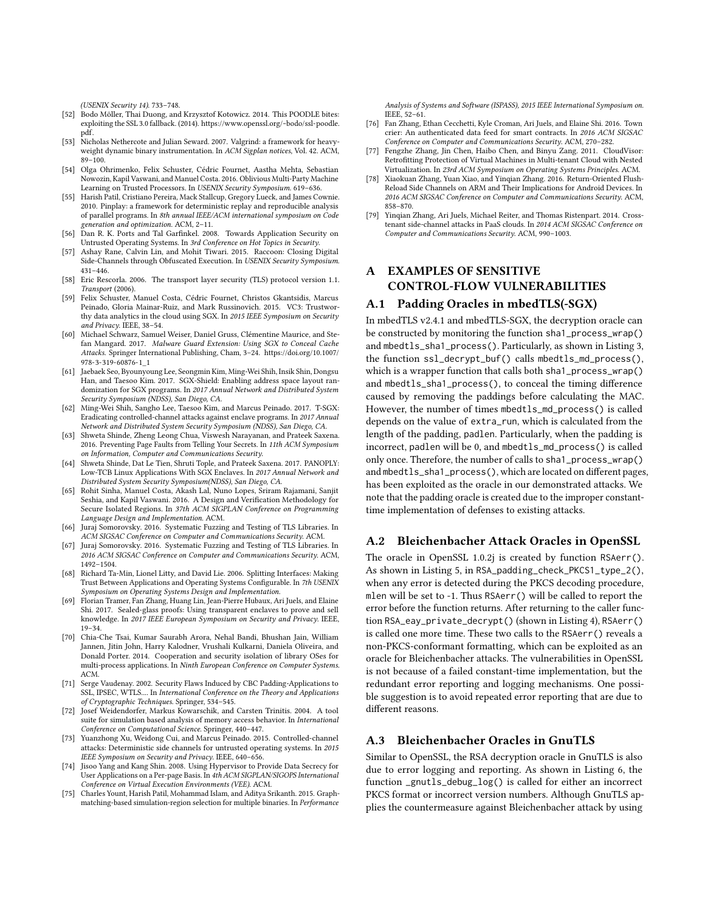(USENIX Security 14). 733–748.

- <span id="page-14-8"></span>[52] Bodo Möller, Thai Duong, and Krzysztof Kotowicz. 2014. This POODLE bites: exploiting the SSL 3.0 fallback. (2014). [https://www.openssl.org/~bodo/ssl-poodle.](https://www.openssl.org/~bodo/ssl-poodle.pdf) [pdf.](https://www.openssl.org/~bodo/ssl-poodle.pdf)
- <span id="page-14-22"></span>[53] Nicholas Nethercote and Julian Seward. 2007. Valgrind: a framework for heavyweight dynamic binary instrumentation. In ACM Sigplan notices, Vol. 42. ACM, 89–100.
- <span id="page-14-4"></span>[54] Olga Ohrimenko, Felix Schuster, Cédric Fournet, Aastha Mehta, Sebastian Nowozin, Kapil Vaswani, and Manuel Costa. 2016. Oblivious Multi-Party Machine Learning on Trusted Processors. In USENIX Security Symposium. 619–636.
- <span id="page-14-20"></span>[55] Harish Patil, Cristiano Pereira, Mack Stallcup, Gregory Lueck, and James Cownie. 2010. Pinplay: a framework for deterministic replay and reproducible analysis of parallel programs. In 8th annual IEEE/ACM international symposium on Code generation and optimization. ACM, 2–11.
- <span id="page-14-0"></span>[56] Dan R. K. Ports and Tal Garfinkel. 2008. Towards Application Security on Untrusted Operating Systems. In 3rd Conference on Hot Topics in Security.
- <span id="page-14-14"></span>[57] Ashay Rane, Calvin Lin, and Mohit Tiwari. 2015. Raccoon: Closing Digital Side-Channels through Obfuscated Execution. In USENIX Security Symposium. 431–446.
- <span id="page-14-9"></span>[58] Eric Rescorla. 2006. The transport layer security (TLS) protocol version 1.1. Transport (2006).
- <span id="page-14-5"></span>[59] Felix Schuster, Manuel Costa, Cédric Fournet, Christos Gkantsidis, Marcus Peinado, Gloria Mainar-Ruiz, and Mark Russinovich. 2015. VC3: Trustworthy data analytics in the cloud using SGX. In 2015 IEEE Symposium on Security and Privacy. IEEE, 38–54.
- <span id="page-14-16"></span>[60] Michael Schwarz, Samuel Weiser, Daniel Gruss, Clémentine Maurice, and Stefan Mangard. 2017. Malware Guard Extension: Using SGX to Conceal Cache Attacks. Springer International Publishing, Cham, 3–24. [https://doi.org/10.1007/](https://doi.org/10.1007/978-3-319-60876-1_1) [978-3-319-60876-1\\_1](https://doi.org/10.1007/978-3-319-60876-1_1)
- <span id="page-14-27"></span>[61] Jaebaek Seo, Byounyoung Lee, Seongmin Kim, Ming-Wei Shih, Insik Shin, Dongsu Han, and Taesoo Kim. 2017. SGX-Shield: Enabling address space layout randomization for SGX programs. In 2017 Annual Network and Distributed System Security Symposium (NDSS), San Diego, CA.
- <span id="page-14-25"></span>[62] Ming-Wei Shih, Sangho Lee, Taesoo Kim, and Marcus Peinado. 2017. T-SGX: Eradicating controlled-channel attacks against enclave programs. In 2017 Annual Network and Distributed System Security Symposium (NDSS), San Diego, CA.
- <span id="page-14-10"></span>[63] Shweta Shinde, Zheng Leong Chua, Viswesh Narayanan, and Prateek Saxena. 2016. Preventing Page Faults from Telling Your Secrets. In 11th ACM Symposium on Information, Computer and Communications Security.
- <span id="page-14-28"></span>[64] Shweta Shinde, Dat Le Tien, Shruti Tople, and Prateek Saxena. 2017. PANOPLY: Low-TCB Linux Applications With SGX Enclaves. In 2017 Annual Network and Distributed System Security Symposium(NDSS), San Diego, CA.
- <span id="page-14-6"></span>[65] Rohit Sinha, Manuel Costa, Akash Lal, Nuno Lopes, Sriram Rajamani, Sanjit Seshia, and Kapil Vaswani. 2016. A Design and Verification Methodology for Secure Isolated Regions. In 37th ACM SIGPLAN Conference on Programming Language Design and Implementation. ACM.
- <span id="page-14-15"></span>[66] Juraj Somorovsky. 2016. Systematic Fuzzing and Testing of TLS Libraries. In ACM SIGSAC Conference on Computer and Communications Security. ACM.
- <span id="page-14-19"></span>[67] Juraj Somorovsky. 2016. Systematic Fuzzing and Testing of TLS Libraries. In 2016 ACM SIGSAC Conference on Computer and Communications Security. ACM, 1492–1504.
- <span id="page-14-1"></span>[68] Richard Ta-Min, Lionel Litty, and David Lie. 2006. Splitting Interfaces: Making Trust Between Applications and Operating Systems Configurable. In 7th USENIX Symposium on Operating Systems Design and Implementation.
- <span id="page-14-26"></span>[69] Florian Tramer, Fan Zhang, Huang Lin, Jean-Pierre Hubaux, Ari Juels, and Elaine Shi. 2017. Sealed-glass proofs: Using transparent enclaves to prove and sell knowledge. In 2017 IEEE European Symposium on Security and Privacy. IEEE, 19–34.
- <span id="page-14-17"></span>[70] Chia-Che Tsai, Kumar Saurabh Arora, Nehal Bandi, Bhushan Jain, William Jannen, Jitin John, Harry Kalodner, Vrushali Kulkarni, Daniela Oliveira, and Donald Porter. 2014. Cooperation and security isolation of library OSes for multi-process applications. In Ninth European Conference on Computer Systems. ACM.
- <span id="page-14-18"></span>[71] Serge Vaudenay. 2002. Security Flaws Induced by CBC Padding-Applications to SSL, IPSEC, WTLS.... In International Conference on the Theory and Applications of Cryptographic Techniques. Springer, 534–545.
- <span id="page-14-23"></span>[72] Josef Weidendorfer, Markus Kowarschik, and Carsten Trinitis. 2004. A tool suite for simulation based analysis of memory access behavior. In International Conference on Computational Science. Springer, 440–447.
- <span id="page-14-11"></span>[73] Yuanzhong Xu, Weidong Cui, and Marcus Peinado. 2015. Controlled-channel attacks: Deterministic side channels for untrusted operating systems. In 2015 IEEE Symposium on Security and Privacy. IEEE, 640–656.
- <span id="page-14-2"></span>[74] Jisoo Yang and Kang Shin. 2008. Using Hypervisor to Provide Data Secrecy for User Applications on a Per-page Basis. In 4th ACM SIGPLAN/SIGOPS International Conference on Virtual Execution Environments (VEE). ACM.
- <span id="page-14-21"></span>[75] Charles Yount, Harish Patil, Mohammad Islam, and Aditya Srikanth. 2015. Graphmatching-based simulation-region selection for multiple binaries. In Performance

Analysis of Systems and Software (ISPASS), 2015 IEEE International Symposium on. IEEE, 52–61.

- <span id="page-14-7"></span>[76] Fan Zhang, Ethan Cecchetti, Kyle Croman, Ari Juels, and Elaine Shi. 2016. Town crier: An authenticated data feed for smart contracts. In 2016 ACM SIGSAC Conference on Computer and Communications Security. ACM, 270–282.
- <span id="page-14-3"></span>[77] Fengzhe Zhang, Jin Chen, Haibo Chen, and Binyu Zang. 2011. CloudVisor: Retrofitting Protection of Virtual Machines in Multi-tenant Cloud with Nested Virtualization. In 23rd ACM Symposium on Operating Systems Principles. ACM.
- <span id="page-14-12"></span>[78] Xiaokuan Zhang, Yuan Xiao, and Yinqian Zhang. 2016. Return-Oriented Flush-Reload Side Channels on ARM and Their Implications for Android Devices. In 2016 ACM SIGSAC Conference on Computer and Communications Security. ACM, 858–870.
- <span id="page-14-13"></span>[79] Yinqian Zhang, Ari Juels, Michael Reiter, and Thomas Ristenpart. 2014. Crosstenant side-channel attacks in PaaS clouds. In 2014 ACM SIGSAC Conference on Computer and Communications Security. ACM, 990–1003.

# <span id="page-14-24"></span>A EXAMPLES OF SENSITIVE CONTROL-FLOW VULNERABILITIES

# A.1 Padding Oracles in mbedTLS(-SGX)

In mbedTLS v2.4.1 and mbedTLS-SGX, the decryption oracle can be constructed by monitoring the function sha1\_process\_wrap() and mbedtls\_sha1\_process(). Particularly, as shown in Listing [3,](#page-15-2) the function ssl\_decrypt\_buf() calls mbedtls\_md\_process(), which is a wrapper function that calls both sha1\_process\_wrap() and mbedtls\_sha1\_process(), to conceal the timing difference caused by removing the paddings before calculating the MAC. However, the number of times mbedtls\_md\_process() is called depends on the value of extra\_run, which is calculated from the length of the padding, padlen. Particularly, when the padding is incorrect, padlen will be 0, and mbedtls\_md\_process() is called only once. Therefore, the number of calls to sha1\_process\_wrap() and mbedtls\_sha1\_process(), which are located on different pages, has been exploited as the oracle in our demonstrated attacks. We note that the padding oracle is created due to the improper constanttime implementation of defenses to existing attacks.

## A.2 Bleichenbacher Attack Oracles in OpenSSL

The oracle in OpenSSL 1.0.2j is created by function RSAerr(). As shown in Listing [5,](#page-15-1) in RSA\_padding\_check\_PKCS1\_type\_2(), when any error is detected during the PKCS decoding procedure, mlen will be set to -1. Thus RSAerr() will be called to report the error before the function returns. After returning to the caller function RSA\_eay\_private\_decrypt() (shown in Listing [4\)](#page-15-0), RSAerr() is called one more time. These two calls to the RSAerr() reveals a non-PKCS-conformant formatting, which can be exploited as an oracle for Bleichenbacher attacks. The vulnerabilities in OpenSSL is not because of a failed constant-time implementation, but the redundant error reporting and logging mechanisms. One possible suggestion is to avoid repeated error reporting that are due to different reasons.

# A.3 Bleichenbacher Oracles in GnuTLS

Similar to OpenSSL, the RSA decryption oracle in GnuTLS is also due to error logging and reporting. As shown in Listing [6,](#page-15-3) the function \_gnutls\_debug\_log() is called for either an incorrect PKCS format or incorrect version numbers. Although GnuTLS applies the countermeasure against Bleichenbacher attack by using